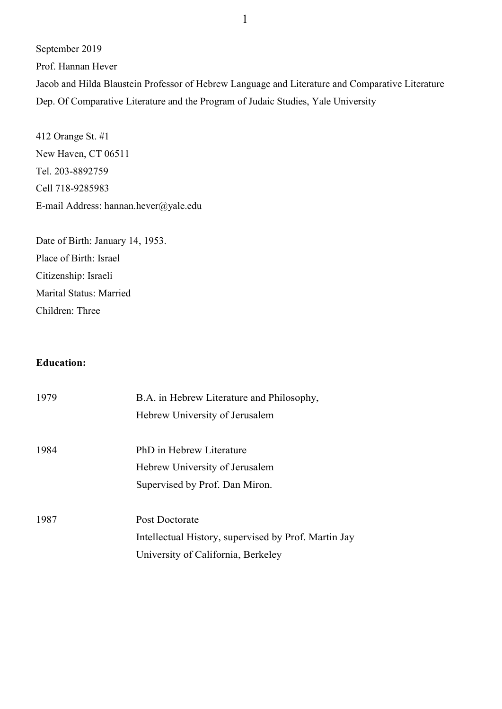September 2019

Prof. Hannan Hever

Jacob and Hilda Blaustein Professor of Hebrew Language and Literature and Comparative Literature Dep. Of Comparative Literature and the Program of Judaic Studies, Yale University

412 Orange St. #1 New Haven, CT 06511 Tel. 203-8892759 Cell 718-9285983 E-mail Address: hannan.hever@yale.edu

Date of Birth: January 14, 1953. Place of Birth: Israel Citizenship: Israeli Marital Status: Married Children: Three

# **Education:**

| 1979 | B.A. in Hebrew Literature and Philosophy,            |  |
|------|------------------------------------------------------|--|
|      | Hebrew University of Jerusalem                       |  |
| 1984 | PhD in Hebrew Literature                             |  |
|      | Hebrew University of Jerusalem                       |  |
|      | Supervised by Prof. Dan Miron.                       |  |
| 1987 | Post Doctorate                                       |  |
|      | Intellectual History, supervised by Prof. Martin Jay |  |
|      | University of California, Berkeley                   |  |
|      |                                                      |  |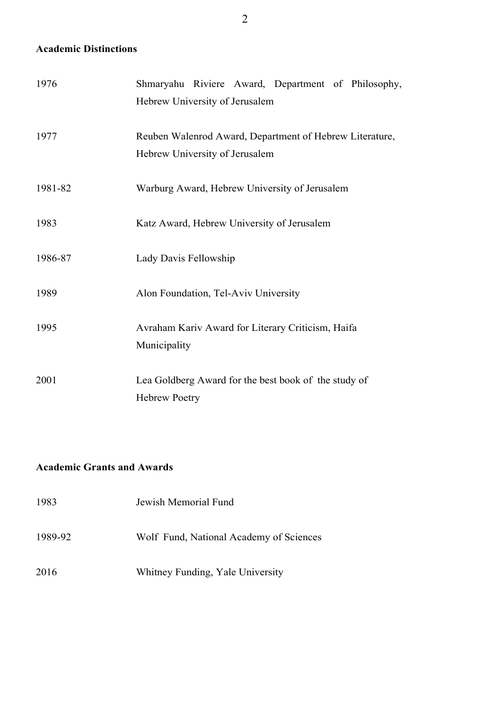# **Academic Distinctions**

| 1976    | Shmaryahu Riviere Award, Department of Philosophy,      |
|---------|---------------------------------------------------------|
|         | Hebrew University of Jerusalem                          |
|         |                                                         |
| 1977    | Reuben Walenrod Award, Department of Hebrew Literature, |
|         | Hebrew University of Jerusalem                          |
| 1981-82 | Warburg Award, Hebrew University of Jerusalem           |
|         |                                                         |
| 1983    | Katz Award, Hebrew University of Jerusalem              |
|         |                                                         |
| 1986-87 | Lady Davis Fellowship                                   |
| 1989    | Alon Foundation, Tel-Aviv University                    |
|         |                                                         |
| 1995    | Avraham Kariv Award for Literary Criticism, Haifa       |
|         | Municipality                                            |
|         |                                                         |
| 2001    | Lea Goldberg Award for the best book of the study of    |
|         | <b>Hebrew Poetry</b>                                    |

# **Academic Grants and Awards**

| 1983    | Jewish Memorial Fund                    |  |  |
|---------|-----------------------------------------|--|--|
| 1989-92 | Wolf Fund, National Academy of Sciences |  |  |
| 2016    | Whitney Funding, Yale University        |  |  |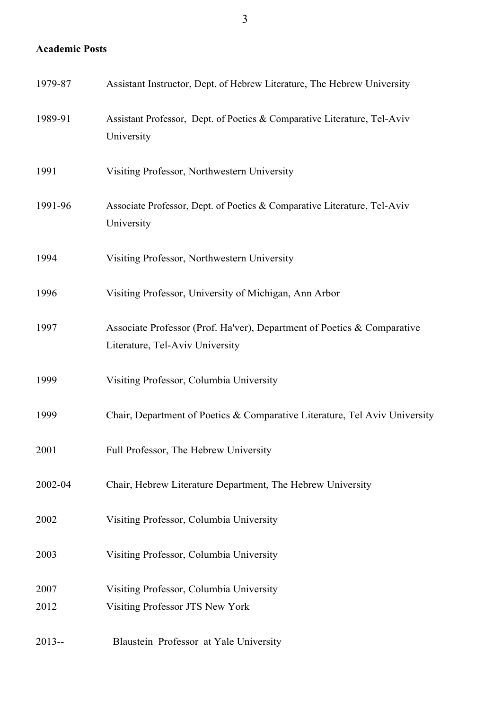# **Academic Posts**

| 1979-87      | Assistant Instructor, Dept. of Hebrew Literature, The Hebrew University                                    |
|--------------|------------------------------------------------------------------------------------------------------------|
| 1989-91      | Assistant Professor, Dept. of Poetics & Comparative Literature, Tel-Aviv<br>University                     |
| 1991         | Visiting Professor, Northwestern University                                                                |
| 1991-96      | Associate Professor, Dept. of Poetics & Comparative Literature, Tel-Aviv<br>University                     |
| 1994         | Visiting Professor, Northwestern University                                                                |
| 1996         | Visiting Professor, University of Michigan, Ann Arbor                                                      |
| 1997         | Associate Professor (Prof. Ha'ver), Department of Poetics & Comparative<br>Literature, Tel-Aviv University |
| 1999         | Visiting Professor, Columbia University                                                                    |
| 1999         | Chair, Department of Poetics & Comparative Literature, Tel Aviv University                                 |
| 2001         | Full Professor, The Hebrew University                                                                      |
| 2002-04      | Chair, Hebrew Literature Department, The Hebrew University                                                 |
| 2002         | Visiting Professor, Columbia University                                                                    |
| 2003         | Visiting Professor, Columbia University                                                                    |
| 2007<br>2012 | Visiting Professor, Columbia University<br>Visiting Professor JTS New York                                 |
| $2013 -$     | Blaustein Professor at Yale University                                                                     |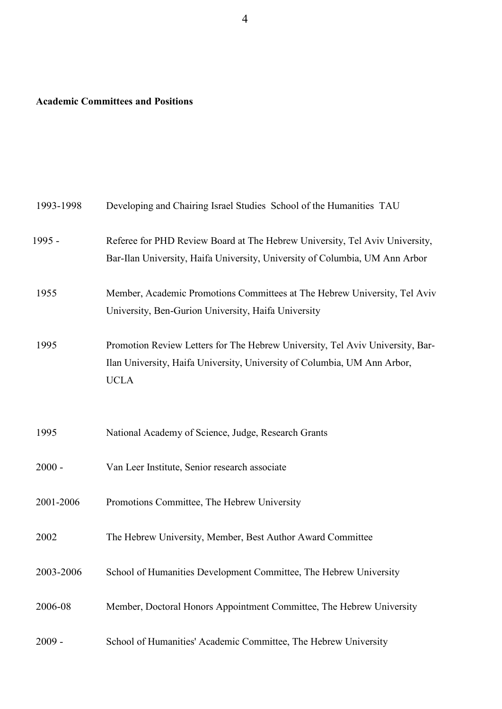# **Academic Committees and Positions**

| 1993-1998 | Developing and Chairing Israel Studies School of the Humanities TAU                                                                                                      |  |  |  |
|-----------|--------------------------------------------------------------------------------------------------------------------------------------------------------------------------|--|--|--|
| 1995 -    | Referee for PHD Review Board at The Hebrew University, Tel Aviv University,<br>Bar-Ilan University, Haifa University, University of Columbia, UM Ann Arbor               |  |  |  |
| 1955      | Member, Academic Promotions Committees at The Hebrew University, Tel Aviv<br>University, Ben-Gurion University, Haifa University                                         |  |  |  |
| 1995      | Promotion Review Letters for The Hebrew University, Tel Aviv University, Bar-<br>Ilan University, Haifa University, University of Columbia, UM Ann Arbor,<br><b>UCLA</b> |  |  |  |
| 1995      | National Academy of Science, Judge, Research Grants                                                                                                                      |  |  |  |
| $2000 -$  | Van Leer Institute, Senior research associate                                                                                                                            |  |  |  |
| 2001-2006 | Promotions Committee, The Hebrew University                                                                                                                              |  |  |  |
| 2002      | The Hebrew University, Member, Best Author Award Committee                                                                                                               |  |  |  |
| 2003-2006 | School of Humanities Development Committee, The Hebrew University                                                                                                        |  |  |  |
| 2006-08   | Member, Doctoral Honors Appointment Committee, The Hebrew University                                                                                                     |  |  |  |
| $2009 -$  | School of Humanities' Academic Committee, The Hebrew University                                                                                                          |  |  |  |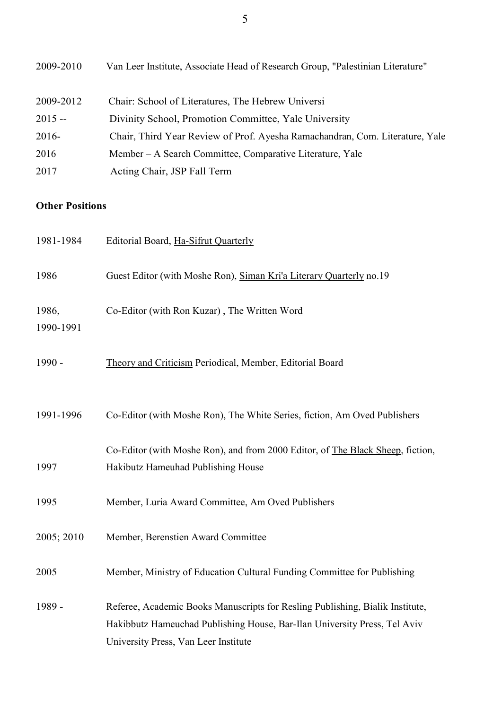| 2009-2010 | Van Leer Institute, Associate Head of Research Group, "Palestinian Literature" |
|-----------|--------------------------------------------------------------------------------|
| 2009-2012 | Chair: School of Literatures, The Hebrew Universi                              |
| $2015 -$  | Divinity School, Promotion Committee, Yale University                          |
| $2016-$   | Chair, Third Year Review of Prof. Ayesha Ramachandran, Com. Literature, Yale   |
| 2016      | Member – A Search Committee, Comparative Literature, Yale                      |
| 2017      | Acting Chair, JSP Fall Term                                                    |

# **Other Positions**

| 1981-1984          | Editorial Board, Ha-Sifrut Quarterly                                           |
|--------------------|--------------------------------------------------------------------------------|
| 1986               | Guest Editor (with Moshe Ron), Siman Kri'a Literary Quarterly no.19            |
| 1986,<br>1990-1991 | Co-Editor (with Ron Kuzar), The Written Word                                   |
| 1990 -             | Theory and Criticism Periodical, Member, Editorial Board                       |
| 1991-1996          | Co-Editor (with Moshe Ron), The White Series, fiction, Am Oved Publishers      |
|                    | Co-Editor (with Moshe Ron), and from 2000 Editor, of The Black Sheep, fiction, |
| 1997               | Hakibutz Hameuhad Publishing House                                             |
| 1995               | Member, Luria Award Committee, Am Oved Publishers                              |
| 2005; 2010         | Member, Berenstien Award Committee                                             |
| 2005               | Member, Ministry of Education Cultural Funding Committee for Publishing        |
| 1989 -             | Referee, Academic Books Manuscripts for Resling Publishing, Bialik Institute,  |
|                    | Hakibbutz Hameuchad Publishing House, Bar-Ilan University Press, Tel Aviv      |
|                    | University Press, Van Leer Institute                                           |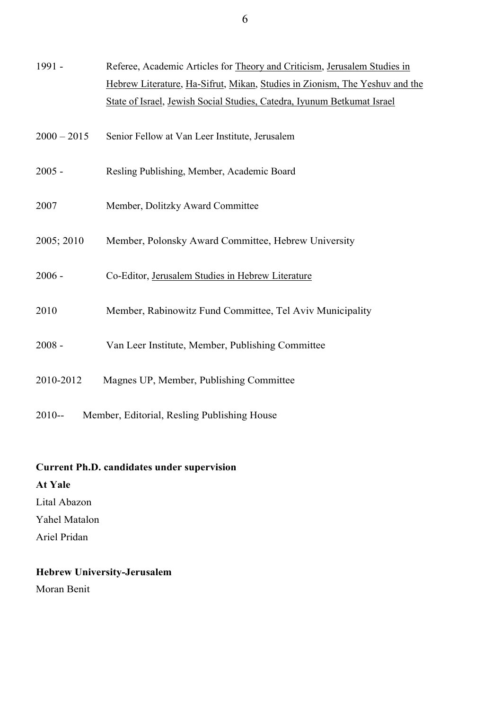| 1991 -        | Referee, Academic Articles for Theory and Criticism, Jerusalem Studies in   |  |  |
|---------------|-----------------------------------------------------------------------------|--|--|
|               | Hebrew Literature, Ha-Sifrut, Mikan, Studies in Zionism, The Yeshuv and the |  |  |
|               | State of Israel, Jewish Social Studies, Catedra, Iyunum Betkumat Israel     |  |  |
| $2000 - 2015$ | Senior Fellow at Van Leer Institute, Jerusalem                              |  |  |
| $2005 -$      | Resling Publishing, Member, Academic Board                                  |  |  |
| 2007          | Member, Dolitzky Award Committee                                            |  |  |
| 2005; 2010    | Member, Polonsky Award Committee, Hebrew University                         |  |  |
| $2006 -$      | Co-Editor, Jerusalem Studies in Hebrew Literature                           |  |  |
| 2010          | Member, Rabinowitz Fund Committee, Tel Aviv Municipality                    |  |  |
| $2008 -$      | Van Leer Institute, Member, Publishing Committee                            |  |  |
| 2010-2012     | Magnes UP, Member, Publishing Committee                                     |  |  |
| $2010 -$      | Member, Editorial, Resling Publishing House                                 |  |  |

# **Current Ph.D. candidates under supervision**

# **At Yale**

Lital Abazon

Yahel Matalon

Ariel Pridan

# **Hebrew University-Jerusalem**

Moran Benit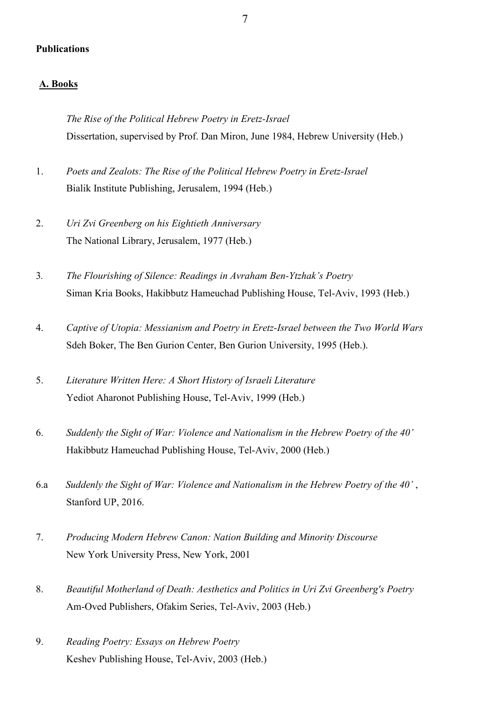#### **Publications**

#### **A. Books**

*The Rise of the Political Hebrew Poetry in Eretz-Israel* Dissertation, supervised by Prof. Dan Miron, June 1984, Hebrew University (Heb.)

- 1. *Poets and Zealots: The Rise of the Political Hebrew Poetry in Eretz-Israel* Bialik Institute Publishing, Jerusalem, 1994 (Heb.)
- 2. *Uri Zvi Greenberg on his Eightieth Anniversary* The National Library, Jerusalem, 1977 (Heb.)
- 3*. The Flourishing of Silence: Readings in Avraham Ben-Ytzhak's Poetry* Siman Kria Books, Hakibbutz Hameuchad Publishing House, Tel-Aviv, 1993 (Heb.)
- 4. *Captive of Utopia: Messianism and Poetry in Eretz-Israel between the Two World Wars* Sdeh Boker, The Ben Gurion Center, Ben Gurion University, 1995 (Heb.).
- 5. *Literature Written Here: A Short History of Israeli Literature* Yediot Aharonot Publishing House, Tel-Aviv, 1999 (Heb.)
- 6. *Suddenly the Sight of War: Violence and Nationalism in the Hebrew Poetry of the 40'* Hakibbutz Hameuchad Publishing House, Tel-Aviv, 2000 (Heb.)
- 6.a *Suddenly the Sight of War: Violence and Nationalism in the Hebrew Poetry of the 40'* , Stanford UP, 2016.
- 7. *Producing Modern Hebrew Canon: Nation Building and Minority Discourse* New York University Press, New York, 2001
- 8. *Beautiful Motherland of Death: Aesthetics and Politics in Uri Zvi Greenberg's Poetry*  Am-Oved Publishers, Ofakim Series, Tel-Aviv, 2003 (Heb.)
- 9. *Reading Poetry: Essays on Hebrew Poetry* Keshev Publishing House, Tel-Aviv, 2003 (Heb.)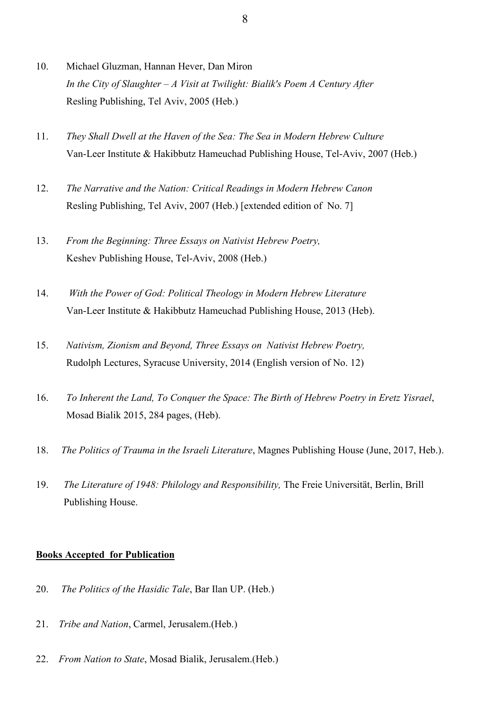- 10. Michael Gluzman, Hannan Hever, Dan Miron *In the City of Slaughter – A Visit at Twilight: Bialik's Poem A Century After* Resling Publishing, Tel Aviv, 2005 (Heb.)
- 11. *They Shall Dwell at the Haven of the Sea: The Sea in Modern Hebrew Culture* Van-Leer Institute & Hakibbutz Hameuchad Publishing House, Tel-Aviv, 2007 (Heb.)
- 12. *The Narrative and the Nation: Critical Readings in Modern Hebrew Canon* Resling Publishing, Tel Aviv, 2007 (Heb.) [extended edition of No. 7]
- 13. *From the Beginning: Three Essays on Nativist Hebrew Poetry,*  Keshev Publishing House, Tel-Aviv, 2008 (Heb.)
- 14. *With the Power of God: Political Theology in Modern Hebrew Literature* Van-Leer Institute & Hakibbutz Hameuchad Publishing House, 2013 (Heb).
- 15. *Nativism, Zionism and Beyond, Three Essays on Nativist Hebrew Poetry,*  Rudolph Lectures, Syracuse University, 2014 (English version of No. 12)
- 16. *To Inherent the Land, To Conquer the Space: The Birth of Hebrew Poetry in Eretz Yisrael*, Mosad Bialik 2015, 284 pages, (Heb).
- 18. *The Politics of Trauma in the Israeli Literature*, Magnes Publishing House (June, 2017, Heb.).
- 19. *The Literature of 1948: Philology and Responsibility,* The Freie Universität, Berlin, Brill Publishing House.

### **Books Accepted for Publication**

- 20. *The Politics of the Hasidic Tale*, Bar Ilan UP. (Heb.)
- 21. *Tribe and Nation*, Carmel, Jerusalem.(Heb.)
- 22. *From Nation to State*, Mosad Bialik, Jerusalem.(Heb.)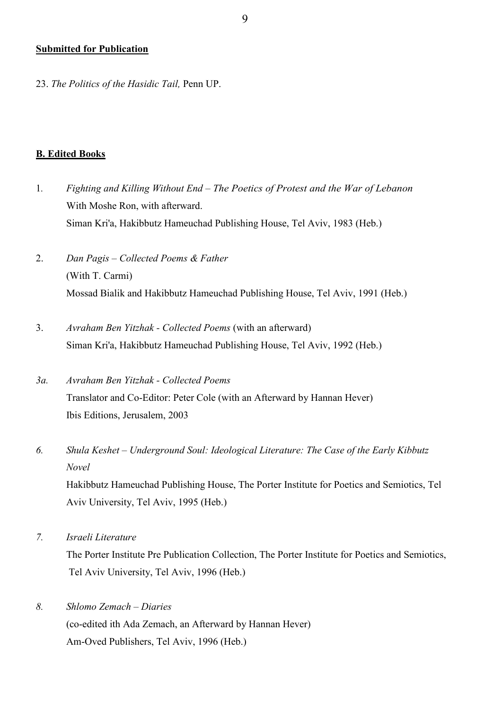#### **Submitted for Publication**

23. *The Politics of the Hasidic Tail,* Penn UP.

#### **B. Edited Books**

- 1*. Fighting and Killing Without End – The Poetics of Protest and the War of Lebanon* With Moshe Ron, with afterward. Siman Kri'a, Hakibbutz Hameuchad Publishing House, Tel Aviv, 1983 (Heb.)
- 2. *Dan Pagis – Collected Poems & Father* (With T. Carmi) Mossad Bialik and Hakibbutz Hameuchad Publishing House, Tel Aviv, 1991 (Heb.)
- 3. *Avraham Ben Yitzhak - Collected Poems* (with an afterward) Siman Kri'a, Hakibbutz Hameuchad Publishing House, Tel Aviv, 1992 (Heb.)
- *3a. Avraham Ben Yitzhak - Collected Poems* Translator and Co-Editor: Peter Cole (with an Afterward by Hannan Hever) Ibis Editions, Jerusalem, 2003
- *6. Shula Keshet – Underground Soul: Ideological Literature: The Case of the Early Kibbutz Novel*

Hakibbutz Hameuchad Publishing House, The Porter Institute for Poetics and Semiotics, Tel Aviv University, Tel Aviv, 1995 (Heb.)

*7. Israeli Literature*

The Porter Institute Pre Publication Collection, The Porter Institute for Poetics and Semiotics, Tel Aviv University, Tel Aviv, 1996 (Heb.)

*8. Shlomo Zemach – Diaries* (co-edited ith Ada Zemach, an Afterward by Hannan Hever) Am-Oved Publishers, Tel Aviv, 1996 (Heb.)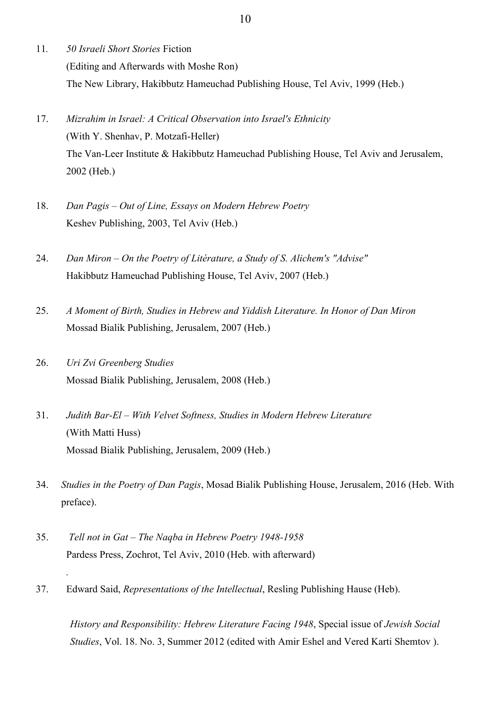- 11*. 50 Israeli Short Stories* Fiction (Editing and Afterwards with Moshe Ron) The New Library, Hakibbutz Hameuchad Publishing House, Tel Aviv, 1999 (Heb.)
- 17. *Mizrahim in Israel: A Critical Observation into Israel's Ethnicity* (With Y. Shenhav, P. Motzafi-Heller) The Van-Leer Institute & Hakibbutz Hameuchad Publishing House, Tel Aviv and Jerusalem, 2002 (Heb.)
- 18. *Dan Pagis – Out of Line, Essays on Modern Hebrew Poetry* Keshev Publishing, 2003, Tel Aviv (Heb.)
- 24. *Dan Miron – On the Poetry of Litérature, a Study of S. Alichem's "Advise"* Hakibbutz Hameuchad Publishing House, Tel Aviv, 2007 (Heb.)
- 25. *A Moment of Birth, Studies in Hebrew and Yiddish Literature. In Honor of Dan Miron* Mossad Bialik Publishing, Jerusalem, 2007 (Heb.)
- 26. *Uri Zvi Greenberg Studies* Mossad Bialik Publishing, Jerusalem, 2008 (Heb.)
- 31. *Judith Bar-El – With Velvet Softness, Studies in Modern Hebrew Literature* (With Matti Huss) Mossad Bialik Publishing, Jerusalem, 2009 (Heb.)
- 34. *Studies in the Poetry of Dan Pagis*, Mosad Bialik Publishing House, Jerusalem, 2016 (Heb. With preface).
- 35. *Tell not in Gat – The Naqba in Hebrew Poetry 1948-1958* Pardess Press, Zochrot, Tel Aviv, 2010 (Heb. with afterward)

*.* 

37. Edward Said, *Representations of the Intellectual*, Resling Publishing Hause (Heb).

*History and Responsibility: Hebrew Literature Facing 1948*, Special issue of *Jewish Social Studies*, Vol. 18. No. 3, Summer 2012 (edited with Amir Eshel and Vered Karti Shemtov ).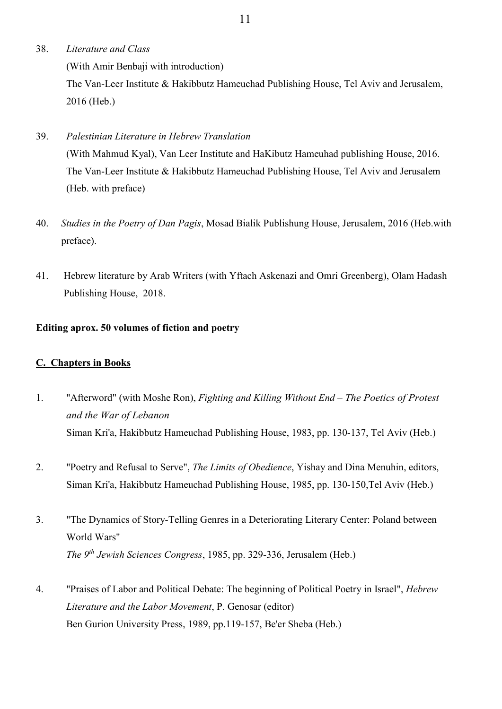- 38. *Literature and Class* (With Amir Benbaji with introduction) The Van-Leer Institute & Hakibbutz Hameuchad Publishing House, Tel Aviv and Jerusalem, 2016 (Heb.)
- 39. *Palestinian Literature in Hebrew Translation* (With Mahmud Kyal), Van Leer Institute and HaKibutz Hameuhad publishing House, 2016. The Van-Leer Institute & Hakibbutz Hameuchad Publishing House, Tel Aviv and Jerusalem (Heb. with preface)
- 40. *Studies in the Poetry of Dan Pagis*, Mosad Bialik Publishung House, Jerusalem, 2016 (Heb.with preface).
- 41. Hebrew literature by Arab Writers (with Yftach Askenazi and Omri Greenberg), Olam Hadash Publishing House, 2018.

# **Editing aprox. 50 volumes of fiction and poetry**

# **C. Chapters in Books**

- 1. "Afterword" (with Moshe Ron), *Fighting and Killing Without End – The Poetics of Protest and the War of Lebanon* Siman Kri'a, Hakibbutz Hameuchad Publishing House, 1983, pp. 130-137, Tel Aviv (Heb.)
- 2. "Poetry and Refusal to Serve", *The Limits of Obedience*, Yishay and Dina Menuhin, editors, Siman Kri'a, Hakibbutz Hameuchad Publishing House, 1985, pp. 130-150,Tel Aviv (Heb.)
- 3. "The Dynamics of Story-Telling Genres in a Deteriorating Literary Center: Poland between World Wars" *The 9th Jewish Sciences Congress*, 1985, pp. 329-336, Jerusalem (Heb.)
- 4. "Praises of Labor and Political Debate: The beginning of Political Poetry in Israel", *Hebrew Literature and the Labor Movement*, P. Genosar (editor) Ben Gurion University Press, 1989, pp.119-157, Be'er Sheba (Heb.)

11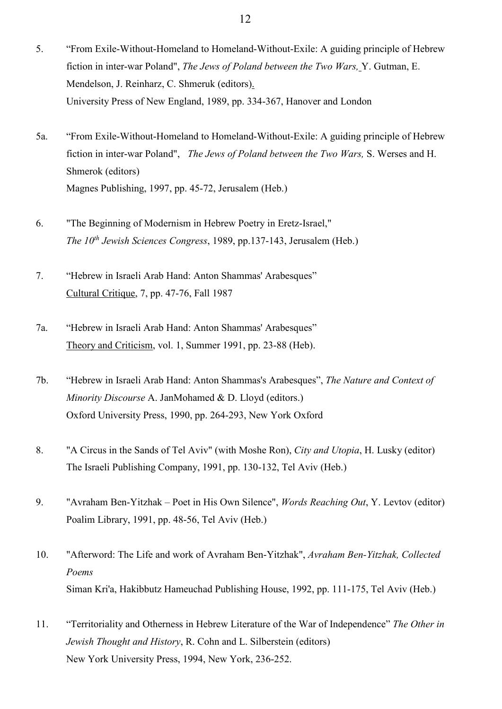- 5. "From Exile-Without-Homeland to Homeland-Without-Exile: A guiding principle of Hebrew fiction in inter-war Poland", *The Jews of Poland between the Two Wars,* Y. Gutman, E. Mendelson, J. Reinharz, C. Shmeruk (editors). University Press of New England, 1989, pp. 334-367, Hanover and London
- 5a. "From Exile-Without-Homeland to Homeland-Without-Exile: A guiding principle of Hebrew fiction in inter-war Poland", *The Jews of Poland between the Two Wars,* S. Werses and H. Shmerok (editors) Magnes Publishing, 1997, pp. 45-72, Jerusalem (Heb.)
- 6. "The Beginning of Modernism in Hebrew Poetry in Eretz-Israel," *The 10th Jewish Sciences Congress*, 1989, pp.137-143, Jerusalem (Heb.)
- 7. "Hebrew in Israeli Arab Hand: Anton Shammas' Arabesques" Cultural Critique, 7, pp. 47-76, Fall 1987
- 7a. "Hebrew in Israeli Arab Hand: Anton Shammas' Arabesques" Theory and Criticism, vol. 1, Summer 1991, pp. 23-88 (Heb).
- 7b. "Hebrew in Israeli Arab Hand: Anton Shammas's Arabesques", *The Nature and Context of Minority Discourse* A. JanMohamed & D. Lloyd (editors.) Oxford University Press, 1990, pp. 264-293, New York Oxford
- 8. "A Circus in the Sands of Tel Aviv" (with Moshe Ron), *City and Utopia*, H. Lusky (editor) The Israeli Publishing Company, 1991, pp. 130-132, Tel Aviv (Heb.)
- 9. "Avraham Ben-Yitzhak Poet in His Own Silence", *Words Reaching Out*, Y. Levtov (editor) Poalim Library, 1991, pp. 48-56, Tel Aviv (Heb.)
- 10. "Afterword: The Life and work of Avraham Ben-Yitzhak", *Avraham Ben-Yitzhak, Collected Poems* Siman Kri'a, Hakibbutz Hameuchad Publishing House, 1992, pp. 111-175, Tel Aviv (Heb.)
- 11. "Territoriality and Otherness in Hebrew Literature of the War of Independence" *The Other in Jewish Thought and History*, R. Cohn and L. Silberstein (editors) New York University Press, 1994, New York, 236-252.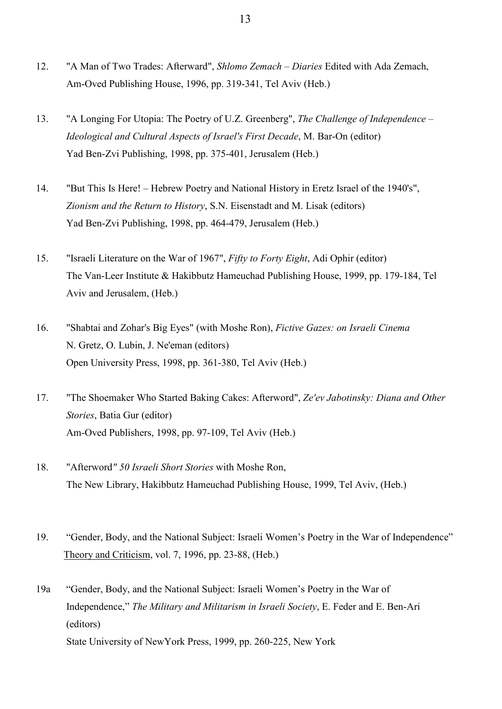- 12. "A Man of Two Trades: Afterward", *Shlomo Zemach – Diaries* Edited with Ada Zemach, Am-Oved Publishing House, 1996, pp. 319-341, Tel Aviv (Heb.)
- 13. "A Longing For Utopia: The Poetry of U.Z. Greenberg", *The Challenge of Independence – Ideological and Cultural Aspects of Israel's First Decade*, M. Bar-On (editor) Yad Ben-Zvi Publishing, 1998, pp. 375-401, Jerusalem (Heb.)
- 14. "But This Is Here! Hebrew Poetry and National History in Eretz Israel of the 1940's", *Zionism and the Return to History*, S.N. Eisenstadt and M. Lisak (editors) Yad Ben-Zvi Publishing, 1998, pp. 464-479, Jerusalem (Heb.)
- 15. "Israeli Literature on the War of 1967", *Fifty to Forty Eight*, Adi Ophir (editor) The Van-Leer Institute & Hakibbutz Hameuchad Publishing House, 1999, pp. 179-184, Tel Aviv and Jerusalem, (Heb.)
- 16. "Shabtai and Zohar's Big Eyes" (with Moshe Ron), *Fictive Gazes: on Israeli Cinema* N. Gretz, O. Lubin, J. Ne'eman (editors) Open University Press, 1998, pp. 361-380, Tel Aviv (Heb.)
- 17. "The Shoemaker Who Started Baking Cakes: Afterword", *Ze'ev Jabotinsky: Diana and Other Stories*, Batia Gur (editor) Am-Oved Publishers, 1998, pp. 97-109, Tel Aviv (Heb.)
- 18. "Afterword*" 50 Israeli Short Stories* with Moshe Ron, The New Library, Hakibbutz Hameuchad Publishing House, 1999, Tel Aviv, (Heb.)
- 19. "Gender, Body, and the National Subject: Israeli Women's Poetry in the War of Independence" Theory and Criticism, vol. 7, 1996, pp. 23-88, (Heb.)
- 19a "Gender, Body, and the National Subject: Israeli Women's Poetry in the War of Independence," *The Military and Militarism in Israeli Society*, E. Feder and E. Ben-Ari (editors) State University of NewYork Press, 1999, pp. 260-225, New York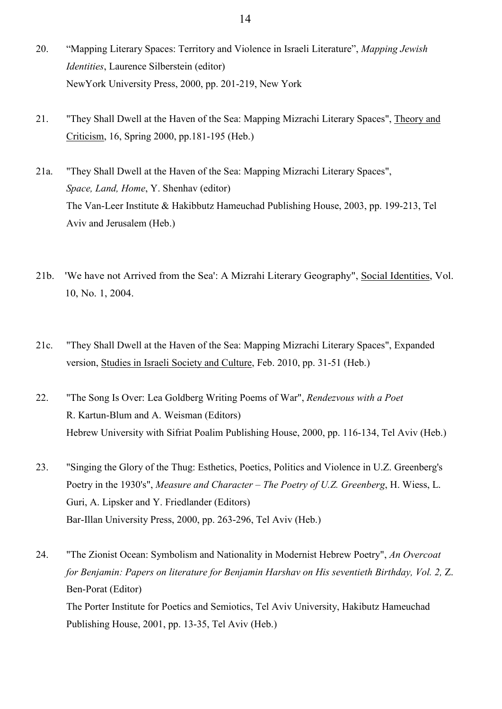- 20. "Mapping Literary Spaces: Territory and Violence in Israeli Literature", *Mapping Jewish Identities*, Laurence Silberstein (editor) NewYork University Press, 2000, pp. 201-219, New York
- 21. "They Shall Dwell at the Haven of the Sea: Mapping Mizrachi Literary Spaces", Theory and Criticism, 16, Spring 2000, pp.181-195 (Heb.)
- 21a. "They Shall Dwell at the Haven of the Sea: Mapping Mizrachi Literary Spaces", *Space, Land, Home*, Y. Shenhav (editor) The Van-Leer Institute & Hakibbutz Hameuchad Publishing House, 2003, pp. 199-213, Tel Aviv and Jerusalem (Heb.)
- 21b. 'We have not Arrived from the Sea': A Mizrahi Literary Geography", Social Identities, Vol. 10, No. 1, 2004.
- 21c. "They Shall Dwell at the Haven of the Sea: Mapping Mizrachi Literary Spaces", Expanded version, Studies in Israeli Society and Culture, Feb. 2010, pp. 31-51 (Heb.)
- 22. "The Song Is Over: Lea Goldberg Writing Poems of War", *Rendezvous with a Poet* R. Kartun-Blum and A. Weisman (Editors) Hebrew University with Sifriat Poalim Publishing House, 2000, pp. 116-134, Tel Aviv (Heb.)
- 23. "Singing the Glory of the Thug: Esthetics, Poetics, Politics and Violence in U.Z. Greenberg's Poetry in the 1930's", *Measure and Character – The Poetry of U.Z. Greenberg*, H. Wiess, L. Guri, A. Lipsker and Y. Friedlander (Editors) Bar-Illan University Press, 2000, pp. 263-296, Tel Aviv (Heb.)
- 24. "The Zionist Ocean: Symbolism and Nationality in Modernist Hebrew Poetry", *An Overcoat for Benjamin: Papers on literature for Benjamin Harshav on His seventieth Birthday, Vol. 2,* Z. Ben-Porat (Editor) The Porter Institute for Poetics and Semiotics, Tel Aviv University, Hakibutz Hameuchad Publishing House, 2001, pp. 13-35, Tel Aviv (Heb.)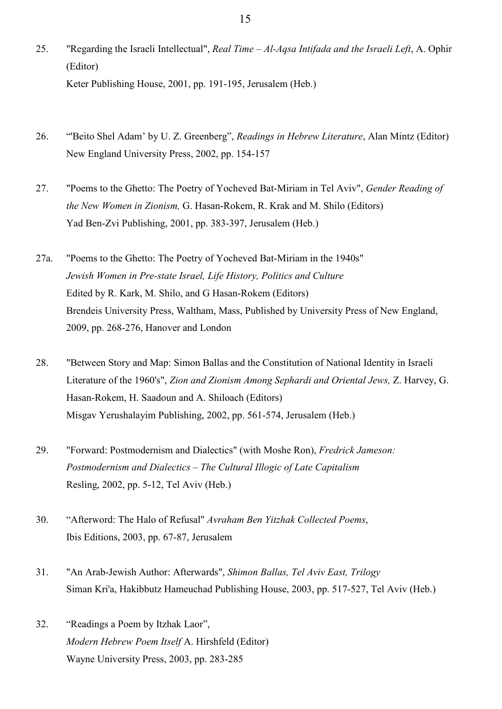- 25. "Regarding the Israeli Intellectual", *Real Time – Al-Aqsa Intifada and the Israeli Left*, A. Ophir (Editor) Keter Publishing House, 2001, pp. 191-195, Jerusalem (Heb.)
- 26. "'Beito Shel Adam' by U. Z. Greenberg", *Readings in Hebrew Literature*, Alan Mintz (Editor) New England University Press, 2002, pp. 154-157
- 27. "Poems to the Ghetto: The Poetry of Yocheved Bat-Miriam in Tel Aviv", *Gender Reading of the New Women in Zionism,* G. Hasan-Rokem, R. Krak and M. Shilo (Editors) Yad Ben-Zvi Publishing, 2001, pp. 383-397, Jerusalem (Heb.)
- 27a. "Poems to the Ghetto: The Poetry of Yocheved Bat-Miriam in the 1940s" *Jewish Women in Pre-state Israel, Life History, Politics and Culture* Edited by R. Kark, M. Shilo, and G Hasan-Rokem (Editors) Brendeis University Press, Waltham, Mass, Published by University Press of New England, 2009, pp. 268-276, Hanover and London
- 28. "Between Story and Map: Simon Ballas and the Constitution of National Identity in Israeli Literature of the 1960's", *Zion and Zionism Among Sephardi and Oriental Jews,* Z. Harvey, G. Hasan-Rokem, H. Saadoun and A. Shiloach (Editors) Misgav Yerushalayim Publishing, 2002, pp. 561-574, Jerusalem (Heb.)
- 29. "Forward: Postmodernism and Dialectics" (with Moshe Ron), *Fredrick Jameson: Postmodernism and Dialectics – The Cultural Illogic of Late Capitalism* Resling, 2002, pp. 5-12, Tel Aviv (Heb.)
- 30. "Afterword: The Halo of Refusal" *Avraham Ben Yitzhak Collected Poems*, Ibis Editions, 2003, pp. 67-87, Jerusalem
- 31. "An Arab-Jewish Author: Afterwards", *Shimon Ballas, Tel Aviv East, Trilogy* Siman Kri'a, Hakibbutz Hameuchad Publishing House, 2003, pp. 517-527, Tel Aviv (Heb.)
- 32. "Readings a Poem by Itzhak Laor", *Modern Hebrew Poem Itself* A. Hirshfeld (Editor) Wayne University Press, 2003, pp. 283-285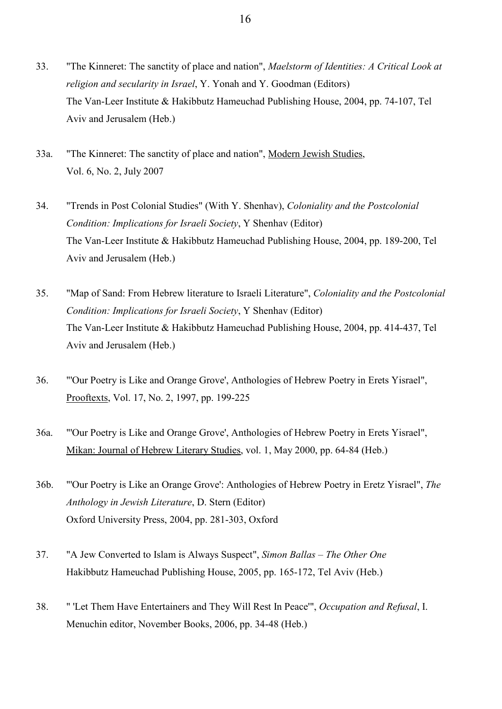- 33. "The Kinneret: The sanctity of place and nation", *Maelstorm of Identities: A Critical Look at religion and secularity in Israel*, Y. Yonah and Y. Goodman (Editors) The Van-Leer Institute & Hakibbutz Hameuchad Publishing House, 2004, pp. 74-107, Tel Aviv and Jerusalem (Heb.)
- 33a. "The Kinneret: The sanctity of place and nation", Modern Jewish Studies, Vol. 6, No. 2, July 2007
- 34. "Trends in Post Colonial Studies" (With Y. Shenhav), *Coloniality and the Postcolonial Condition: Implications for Israeli Society*, Y Shenhav (Editor) The Van-Leer Institute & Hakibbutz Hameuchad Publishing House, 2004, pp. 189-200, Tel Aviv and Jerusalem (Heb.)
- 35. "Map of Sand: From Hebrew literature to Israeli Literature", *Coloniality and the Postcolonial Condition: Implications for Israeli Society*, Y Shenhav (Editor) The Van-Leer Institute & Hakibbutz Hameuchad Publishing House, 2004, pp. 414-437, Tel Aviv and Jerusalem (Heb.)
- 36. "'Our Poetry is Like and Orange Grove', Anthologies of Hebrew Poetry in Erets Yisrael", Prooftexts, Vol. 17, No. 2, 1997, pp. 199-225
- 36a. "'Our Poetry is Like and Orange Grove', Anthologies of Hebrew Poetry in Erets Yisrael", Mikan: Journal of Hebrew Literary Studies, vol. 1, May 2000, pp. 64-84 (Heb.)
- 36b. "'Our Poetry is Like an Orange Grove': Anthologies of Hebrew Poetry in Eretz Yisrael", *The Anthology in Jewish Literature*, D. Stern (Editor) Oxford University Press, 2004, pp. 281-303, Oxford
- 37. "A Jew Converted to Islam is Always Suspect", *Simon Ballas – The Other One* Hakibbutz Hameuchad Publishing House, 2005, pp. 165-172, Tel Aviv (Heb.)
- 38. " 'Let Them Have Entertainers and They Will Rest In Peace'", *Occupation and Refusal*, I. Menuchin editor, November Books, 2006, pp. 34-48 (Heb.)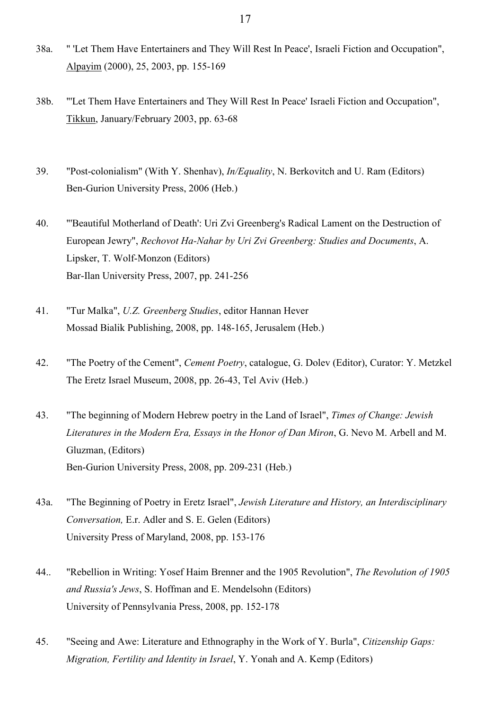- 38a. " 'Let Them Have Entertainers and They Will Rest In Peace', Israeli Fiction and Occupation", Alpayim (2000), 25, 2003, pp. 155-169
- 38b. "'Let Them Have Entertainers and They Will Rest In Peace' Israeli Fiction and Occupation", Tikkun, January/February 2003, pp. 63-68
- 39. "Post-colonialism" (With Y. Shenhav), *In/Equality*, N. Berkovitch and U. Ram (Editors) Ben-Gurion University Press, 2006 (Heb.)
- 40. "'Beautiful Motherland of Death': Uri Zvi Greenberg's Radical Lament on the Destruction of European Jewry", *Rechovot Ha-Nahar by Uri Zvi Greenberg: Studies and Documents*, A. Lipsker, T. Wolf-Monzon (Editors) Bar-Ilan University Press, 2007, pp. 241-256
- 41. "Tur Malka", *U.Z. Greenberg Studies*, editor Hannan Hever Mossad Bialik Publishing, 2008, pp. 148-165, Jerusalem (Heb.)
- 42. "The Poetry of the Cement", *Cement Poetry*, catalogue, G. Dolev (Editor), Curator: Y. Metzkel The Eretz Israel Museum, 2008, pp. 26-43, Tel Aviv (Heb.)
- 43. "The beginning of Modern Hebrew poetry in the Land of Israel", *Times of Change: Jewish Literatures in the Modern Era, Essays in the Honor of Dan Miron*, G. Nevo M. Arbell and M. Gluzman, (Editors) Ben-Gurion University Press, 2008, pp. 209-231 (Heb.)
- 43a. "The Beginning of Poetry in Eretz Israel", *Jewish Literature and History, an Interdisciplinary Conversation,* E.r. Adler and S. E. Gelen (Editors) University Press of Maryland, 2008, pp. 153-176
- 44.. "Rebellion in Writing: Yosef Haim Brenner and the 1905 Revolution", *The Revolution of 1905 and Russia's Jews*, S. Hoffman and E. Mendelsohn (Editors) University of Pennsylvania Press, 2008, pp. 152-178
- 45. "Seeing and Awe: Literature and Ethnography in the Work of Y. Burla", *Citizenship Gaps: Migration, Fertility and Identity in Israel*, Y. Yonah and A. Kemp (Editors)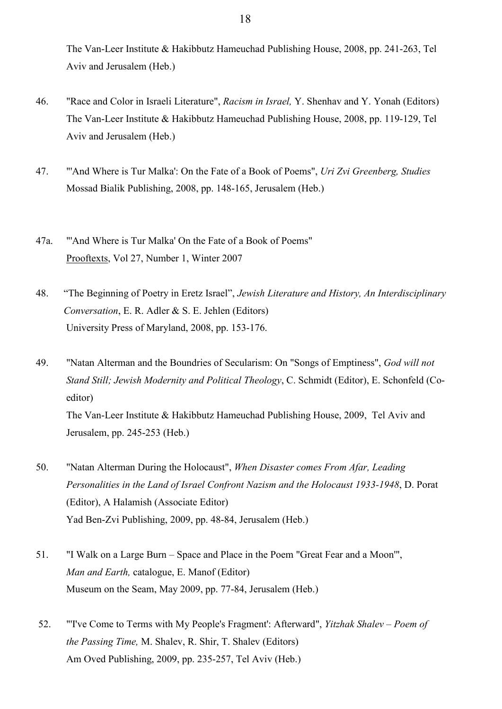The Van-Leer Institute & Hakibbutz Hameuchad Publishing House, 2008, pp. 241-263, Tel Aviv and Jerusalem (Heb.)

- 46. "Race and Color in Israeli Literature", *Racism in Israel,* Y. Shenhav and Y. Yonah (Editors) The Van-Leer Institute & Hakibbutz Hameuchad Publishing House, 2008, pp. 119-129, Tel Aviv and Jerusalem (Heb.)
- 47. "'And Where is Tur Malka': On the Fate of a Book of Poems", *Uri Zvi Greenberg, Studies* Mossad Bialik Publishing, 2008, pp. 148-165, Jerusalem (Heb.)
- 47a. "'And Where is Tur Malka' On the Fate of a Book of Poems" Prooftexts, Vol 27, Number 1, Winter 2007
- 48. "The Beginning of Poetry in Eretz Israel", *Jewish Literature and History, An Interdisciplinary Conversation*, E. R. Adler & S. E. Jehlen (Editors) University Press of Maryland, 2008, pp. 153-176.
- 49. "Natan Alterman and the Boundries of Secularism: On "Songs of Emptiness", *God will not Stand Still; Jewish Modernity and Political Theology*, C. Schmidt (Editor), E. Schonfeld (Coeditor) The Van-Leer Institute & Hakibbutz Hameuchad Publishing House, 2009, Tel Aviv and Jerusalem, pp. 245-253 (Heb.)
- 50. "Natan Alterman During the Holocaust", *When Disaster comes From Afar, Leading Personalities in the Land of Israel Confront Nazism and the Holocaust 1933-1948*, D. Porat (Editor), A Halamish (Associate Editor) Yad Ben-Zvi Publishing, 2009, pp. 48-84, Jerusalem (Heb.)
- 51. "I Walk on a Large Burn Space and Place in the Poem "Great Fear and a Moon'", *Man and Earth,* catalogue, E. Manof (Editor) Museum on the Seam, May 2009, pp. 77-84, Jerusalem (Heb.)
- 52. "'I've Come to Terms with My People's Fragment': Afterward", *Yitzhak Shalev – Poem of the Passing Time,* M. Shalev, R. Shir, T. Shalev (Editors) Am Oved Publishing, 2009, pp. 235-257, Tel Aviv (Heb.)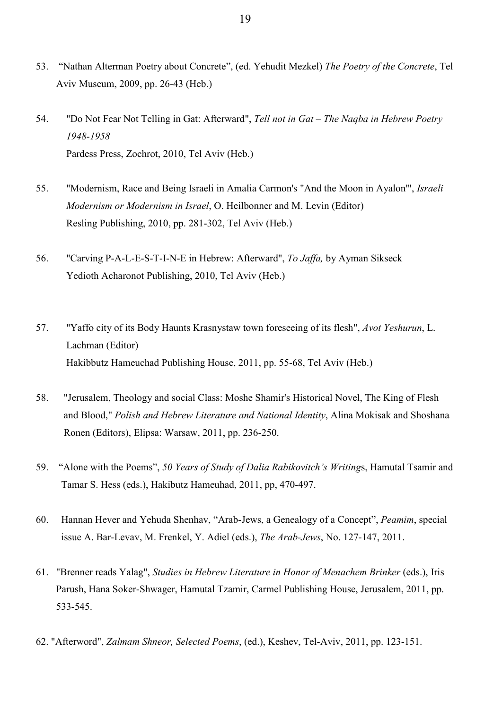- 53. "Nathan Alterman Poetry about Concrete", (ed. Yehudit Mezkel) *The Poetry of the Concrete*, Tel Aviv Museum, 2009, pp. 26-43 (Heb.)
- 54. "Do Not Fear Not Telling in Gat: Afterward", *Tell not in Gat – The Naqba in Hebrew Poetry 1948-1958* Pardess Press, Zochrot, 2010, Tel Aviv (Heb.)
- 55. "Modernism, Race and Being Israeli in Amalia Carmon's "And the Moon in Ayalon'", *Israeli Modernism or Modernism in Israel*, O. Heilbonner and M. Levin (Editor) Resling Publishing, 2010, pp. 281-302, Tel Aviv (Heb.)
- 56. "Carving P-A-L-E-S-T-I-N-E in Hebrew: Afterward", *To Jaffa,* by Ayman Sikseck Yedioth Acharonot Publishing, 2010, Tel Aviv (Heb.)
- 57. "Yaffo city of its Body Haunts Krasnystaw town foreseeing of its flesh", *Avot Yeshurun*, L. Lachman (Editor) Hakibbutz Hameuchad Publishing House, 2011, pp. 55-68, Tel Aviv (Heb.)
- 58. "Jerusalem, Theology and social Class: Moshe Shamir's Historical Novel, The King of Flesh and Blood," *Polish and Hebrew Literature and National Identity*, Alina Mokisak and Shoshana Ronen (Editors), Elipsa: Warsaw, 2011, pp. 236-250.
- 59. "Alone with the Poems", *50 Years of Study of Dalia Rabikovitch's Writing*s, Hamutal Tsamir and Tamar S. Hess (eds.), Hakibutz Hameuhad, 2011, pp, 470-497.
- 60. Hannan Hever and Yehuda Shenhav, "Arab-Jews, a Genealogy of a Concept", *Peamim*, special issue A. Bar-Levav, M. Frenkel, Y. Adiel (eds.), *The Arab-Jews*, No. 127-147, 2011.
- 61. "Brenner reads Yalag", *Studies in Hebrew Literature in Honor of Menachem Brinker* (eds.), Iris Parush, Hana Soker-Shwager, Hamutal Tzamir, Carmel Publishing House, Jerusalem, 2011, pp. 533-545.
- 62. "Afterword", *Zalmam Shneor, Selected Poems*, (ed.), Keshev, Tel-Aviv, 2011, pp. 123-151.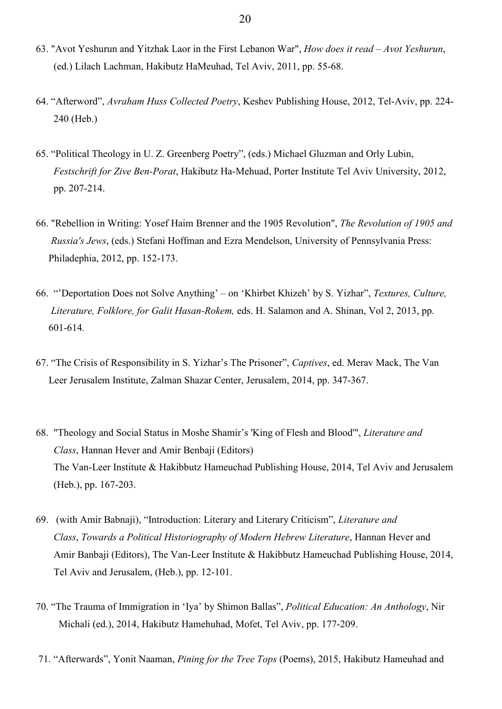- 63. "Avot Yeshurun and Yitzhak Laor in the First Lebanon War", *How does it read – Avot Yeshurun*, (ed.) Lilach Lachman, Hakibutz HaMeuhad, Tel Aviv, 2011, pp. 55-68.
- 64. "Afterword", *Avraham Huss Collected Poetry*, Keshev Publishing House, 2012, Tel-Aviv, pp. 224- 240 (Heb.)
- 65. "Political Theology in U. Z. Greenberg Poetry", (eds.) Michael Gluzman and Orly Lubin,  *Festschrift for Zive Ben-Porat*, Hakibutz Ha-Mehuad, Porter Institute Tel Aviv University, 2012, pp. 207-214.
- 66. "Rebellion in Writing: Yosef Haim Brenner and the 1905 Revolution", *The Revolution of 1905 and Russia's Jews*, (eds.) Stefani Hoffman and Ezra Mendelson, University of Pennsylvania Press: Philadephia, 2012, pp. 152-173.
- 66. "'Deportation Does not Solve Anything' on 'Khirbet Khizeh' by S. Yizhar", *Textures, Culture, Literature, Folklore, for Galit Hasan-Rokem,* eds. H. Salamon and A. Shinan, Vol 2, 2013, pp. 601-614*.*
- 67. "The Crisis of Responsibility in S. Yizhar's The Prisoner", *Captives*, ed. Merav Mack, The Van Leer Jerusalem Institute, Zalman Shazar Center, Jerusalem, 2014, pp. 347-367.
- 68. "Theology and Social Status in Moshe Shamir's 'King of Flesh and Blood'", *Literature and Class*, Hannan Hever and Amir Benbaji (Editors) The Van-Leer Institute & Hakibbutz Hameuchad Publishing House, 2014, Tel Aviv and Jerusalem (Heb.), pp. 167-203.
- 69. (with Amir Babnaji), "Introduction: Literary and Literary Criticism", *Literature and Class*, *Towards a Political Historiography of Modern Hebrew Literature*, Hannan Hever and Amir Banbaji (Editors), The Van-Leer Institute & Hakibbutz Hameuchad Publishing House, 2014, Tel Aviv and Jerusalem, (Heb.), pp. 12-101.
- 70. "The Trauma of Immigration in 'Iya' by Shimon Ballas", *Political Education: An Anthology*, Nir Michali (ed.), 2014, Hakibutz Hamehuhad, Mofet, Tel Aviv, pp. 177-209.
- 71. "Afterwards", Yonit Naaman, *Pining for the Tree Tops* (Poems), 2015, Hakibutz Hameuhad and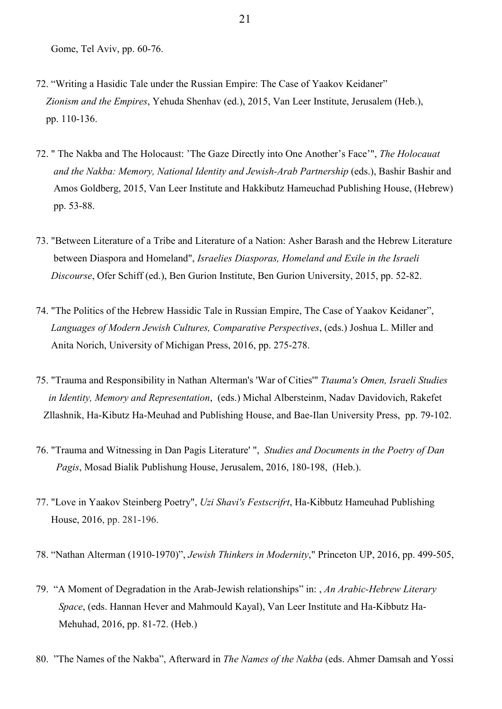- 72. "Writing a Hasidic Tale under the Russian Empire: The Case of Yaakov Keidaner" *Zionism and the Empires*, Yehuda Shenhav (ed.), 2015, Van Leer Institute, Jerusalem (Heb.), pp. 110-136.
- 72. " The Nakba and The Holocaust: 'The Gaze Directly into One Another's Face'", *The Holocauat and the Nakba: Memory, National Identity and Jewish-Arab Partnership* (eds.), Bashir Bashir and Amos Goldberg, 2015, Van Leer Institute and Hakkibutz Hameuchad Publishing House, (Hebrew) pp. 53-88.
- 73. "Between Literature of a Tribe and Literature of a Nation: Asher Barash and the Hebrew Literature between Diaspora and Homeland", *Israelies Diasporas, Homeland and Exile in the Israeli Discourse*, Ofer Schiff (ed.), Ben Gurion Institute, Ben Gurion University, 2015, pp. 52-82.
- 74. "The Politics of the Hebrew Hassidic Tale in Russian Empire, The Case of Yaakov Keidaner",  *Languages of Modern Jewish Cultures, Comparative Perspectives*, (eds.) Joshua L. Miller and Anita Norich, University of Michigan Press, 2016, pp. 275-278.
- 75. "Trauma and Responsibility in Nathan Alterman's 'War of Cities'" *Ttauma's Omen, Israeli Studies in Identity, Memory and Representation*, (eds.) Michal Albersteinm, Nadav Davidovich, Rakefet Zllashnik, Ha-Kibutz Ha-Meuhad and Publishing House, and Bae-Ilan University Press, pp. 79-102.
- 76. "Trauma and Witnessing in Dan Pagis Literature' ", *Studies and Documents in the Poetry of Dan Pagis*, Mosad Bialik Publishung House, Jerusalem, 2016, 180-198, (Heb.).
- 77. "Love in Yaakov Steinberg Poetry", *Uzi Shavi's Festscrifrt*, Ha-Kibbutz Hameuhad Publishing House, 2016, pp. 281-196.
- 78. "Nathan Alterman (1910-1970)", *Jewish Thinkers in Modernity*," Princeton UP, 2016, pp. 499-505,
- 79. "A Moment of Degradation in the Arab-Jewish relationships" in: , *An Arabic-Hebrew Literary Space*, (eds. Hannan Hever and Mahmould Kayal), Van Leer Institute and Ha-Kibbutz Ha- Mehuhad, 2016, pp. 81-72. (Heb.)
- 80. "The Names of the Nakba", Afterward in *The Names of the Nakba* (eds. Ahmer Damsah and Yossi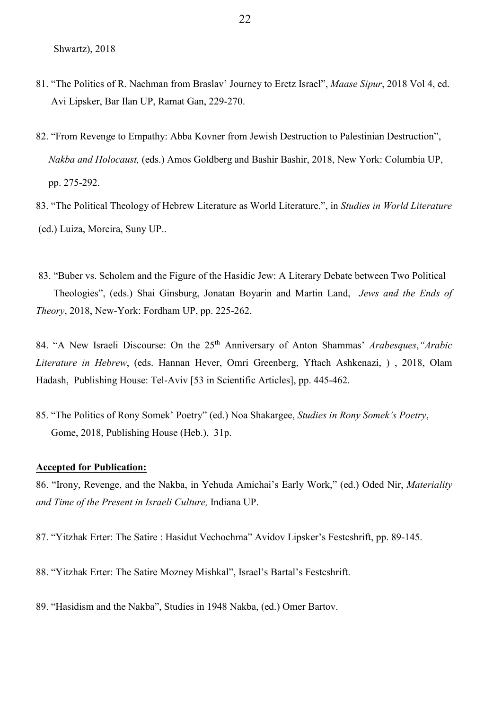- 81. "The Politics of R. Nachman from Braslav' Journey to Eretz Israel", *Maase Sipur*, 2018 Vol 4, ed. Avi Lipsker, Bar Ilan UP, Ramat Gan, 229-270.
- 82. "From Revenge to Empathy: Abba Kovner from Jewish Destruction to Palestinian Destruction",  *Nakba and Holocaust,* (eds.) Amos Goldberg and Bashir Bashir, 2018, New York: Columbia UP, pp. 275-292.
- 83. "The Political Theology of Hebrew Literature as World Literature.", in *Studies in World Literature*  (ed.) Luiza, Moreira, Suny UP..
- 83. "Buber vs. Scholem and the Figure of the Hasidic Jew: A Literary Debate between Two Political Theologies", (eds.) Shai Ginsburg, Jonatan Boyarin and Martin Land, *Jews and the Ends of Theory*, 2018, New-York: Fordham UP, pp. 225-262.

84. "A New Israeli Discourse: On the 25<sup>th</sup> Anniversary of Anton Shammas' Arabesques, "Arabic *Literature in Hebrew*, (eds. Hannan Hever, Omri Greenberg, Yftach Ashkenazi, ) , 2018, Olam Hadash, Publishing House: Tel-Aviv [53 in Scientific Articles], pp. 445-462.

85. "The Politics of Rony Somek' Poetry" (ed.) Noa Shakargee, *Studies in Rony Somek's Poetry*, Gome, 2018, Publishing House (Heb.), 31p.

### **Accepted for Publication:**

86. "Irony, Revenge, and the Nakba, in Yehuda Amichai's Early Work," (ed.) Oded Nir, *Materiality and Time of the Present in Israeli Culture,* Indiana UP.

87. "Yitzhak Erter: The Satire : Hasidut Vechochma" Avidov Lipsker's Festcshrift, pp. 89-145.

88. "Yitzhak Erter: The Satire Mozney Mishkal", Israel's Bartal's Festcshrift.

89. "Hasidism and the Nakba", Studies in 1948 Nakba, (ed.) Omer Bartov.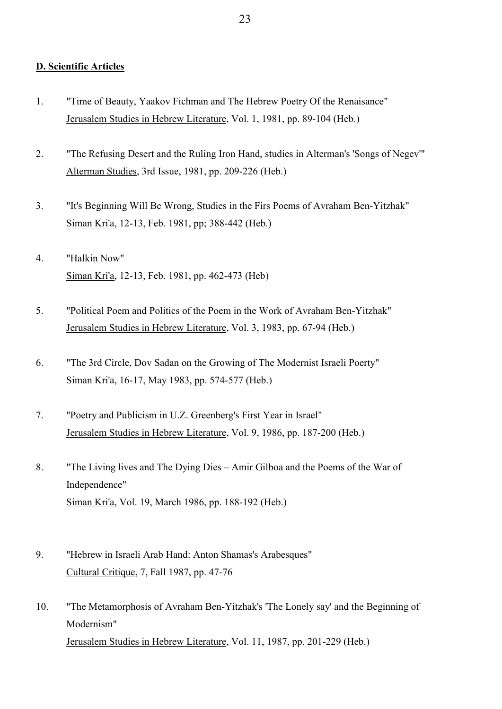### **D. Scientific Articles**

- 1. "Time of Beauty, Yaakov Fichman and The Hebrew Poetry Of the Renaisance" Jerusalem Studies in Hebrew Literature, Vol. 1, 1981, pp. 89-104 (Heb.)
- 2. "The Refusing Desert and the Ruling Iron Hand, studies in Alterman's 'Songs of Negev'" Alterman Studies, 3rd Issue, 1981, pp. 209-226 (Heb.)
- 3. "It's Beginning Will Be Wrong, Studies in the Firs Poems of Avraham Ben-Yitzhak" Siman Kri'a, 12-13, Feb. 1981, pp; 388-442 (Heb.)
- 4. "Halkin Now" Siman Kri'a, 12-13, Feb. 1981, pp. 462-473 (Heb)
- 5. "Political Poem and Politics of the Poem in the Work of Avraham Ben-Yitzhak" Jerusalem Studies in Hebrew Literature, Vol. 3, 1983, pp. 67-94 (Heb.)
- 6. "The 3rd Circle, Dov Sadan on the Growing of The Modernist Israeli Poerty" Siman Kri'a, 16-17, May 1983, pp. 574-577 (Heb.)
- 7. "Poetry and Publicism in U.Z. Greenberg's First Year in Israel" Jerusalem Studies in Hebrew Literature, Vol. 9, 1986, pp. 187-200 (Heb.)
- 8. "The Living lives and The Dying Dies Amir Gilboa and the Poems of the War of Independence" Siman Kri'a, Vol. 19, March 1986, pp. 188-192 (Heb.)
- 9. "Hebrew in Israeli Arab Hand: Anton Shamas's Arabesques" Cultural Critique, 7, Fall 1987, pp. 47-76
- 10. "The Metamorphosis of Avraham Ben-Yitzhak's 'The Lonely say' and the Beginning of Modernism" Jerusalem Studies in Hebrew Literature, Vol. 11, 1987, pp. 201-229 (Heb.)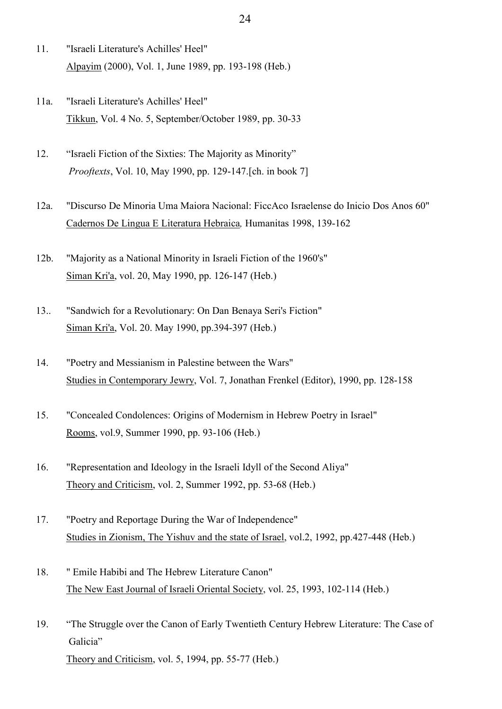- 11. "Israeli Literature's Achilles' Heel" Alpayim (2000), Vol. 1, June 1989, pp. 193-198 (Heb.)
- 11a. "Israeli Literature's Achilles' Heel" Tikkun, Vol. 4 No. 5, September/October 1989, pp. 30-33
- 12. "Israeli Fiction of the Sixties: The Majority as Minority"  *Prooftexts*, Vol. 10, May 1990, pp. 129-147.[ch. in book 7]
- 12a. "Discurso De Minoria Uma Maiora Nacional: FiccAco Israelense do Inicio Dos Anos 60" Cadernos De Lingua E Literatura Hebraica*,* Humanitas 1998, 139-162
- 12b. "Majority as a National Minority in Israeli Fiction of the 1960's" Siman Kri'a, vol. 20, May 1990, pp. 126-147 (Heb.)
- 13.. "Sandwich for a Revolutionary: On Dan Benaya Seri's Fiction" Siman Kri'a, Vol. 20. May 1990, pp.394-397 (Heb.)
- 14. "Poetry and Messianism in Palestine between the Wars" Studies in Contemporary Jewry, Vol. 7, Jonathan Frenkel (Editor), 1990, pp. 128-158
- 15. "Concealed Condolences: Origins of Modernism in Hebrew Poetry in Israel" Rooms, vol.9, Summer 1990, pp. 93-106 (Heb.)
- 16. "Representation and Ideology in the Israeli Idyll of the Second Aliya" Theory and Criticism, vol. 2, Summer 1992, pp. 53-68 (Heb.)
- 17. "Poetry and Reportage During the War of Independence" Studies in Zionism, The Yishuv and the state of Israel, vol.2, 1992, pp.427-448 (Heb.)
- 18. " Emile Habibi and The Hebrew Literature Canon" The New East Journal of Israeli Oriental Society, vol. 25, 1993, 102-114 (Heb.)
- 19. "The Struggle over the Canon of Early Twentieth Century Hebrew Literature: The Case of Galicia" Theory and Criticism, vol. 5, 1994, pp. 55-77 (Heb.)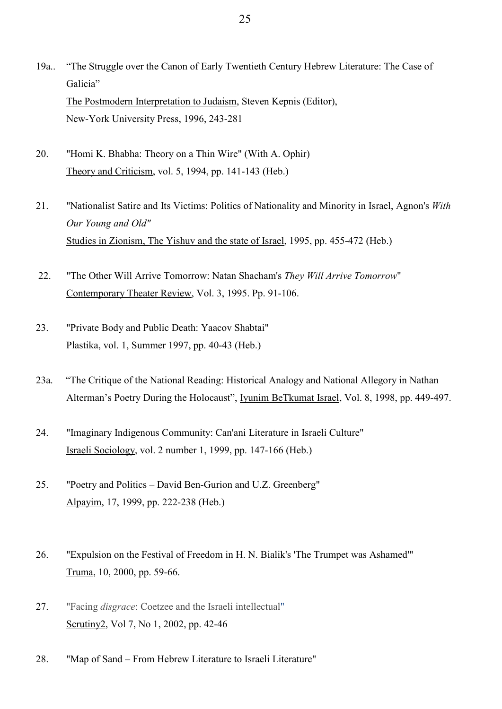- 19a.. "The Struggle over the Canon of Early Twentieth Century Hebrew Literature: The Case of Galicia" The Postmodern Interpretation to Judaism, Steven Kepnis (Editor), New-York University Press, 1996, 243-281
- 20. "Homi K. Bhabha: Theory on a Thin Wire" (With A. Ophir) Theory and Criticism, vol. 5, 1994, pp. 141-143 (Heb.)
- 21. "Nationalist Satire and Its Victims: Politics of Nationality and Minority in Israel, Agnon's *With Our Young and Old"* Studies in Zionism, The Yishuv and the state of Israel, 1995, pp. 455-472 (Heb.)
- 22. "The Other Will Arrive Tomorrow: Natan Shacham's *They Will Arrive Tomorrow*" Contemporary Theater Review, Vol. 3, 1995. Pp. 91-106.
- 23. "Private Body and Public Death: Yaacov Shabtai" Plastika, vol. 1, Summer 1997, pp. 40-43 (Heb.)
- 23a. "The Critique of the National Reading: Historical Analogy and National Allegory in Nathan Alterman's Poetry During the Holocaust", Iyunim BeTkumat Israel, Vol. 8, 1998, pp. 449-497.
- 24. "Imaginary Indigenous Community: Can'ani Literature in Israeli Culture" Israeli Sociology, vol. 2 number 1, 1999, pp. 147-166 (Heb.)
- 25. "Poetry and Politics David Ben-Gurion and U.Z. Greenberg" Alpayim, 17, 1999, pp. 222-238 (Heb.)
- 26. "Expulsion on the Festival of Freedom in H. N. Bialik's 'The Trumpet was Ashamed'" Truma, 10, 2000, pp. 59-66.
- 27. "Facing *disgrace*: Coetzee and the Israeli intellectual" Scrutiny2, Vol 7, No 1, 2002, pp. 42-46
- 28. "Map of Sand From Hebrew Literature to Israeli Literature"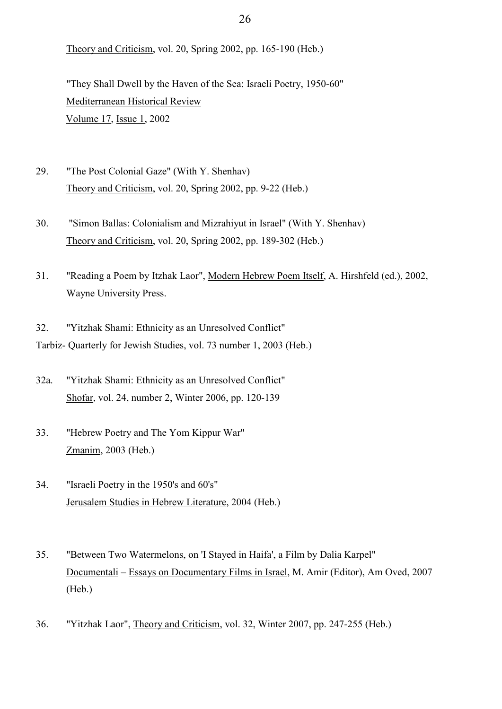Theory and Criticism, vol. 20, Spring 2002, pp. 165-190 (Heb.)

 "They Shall Dwell by the Haven of the Sea: Israeli Poetry, 1950-60" Mediterranean Historical Review [Volume 17,](http://www.tandfonline.com/loi/fmhr20?open=17#vol_17) [Issue 1,](http://www.tandfonline.com/toc/fmhr20/17/1) 2002

- 29. "The Post Colonial Gaze" (With Y. Shenhav) Theory and Criticism, vol. 20, Spring 2002, pp. 9-22 (Heb.)
- 30. "Simon Ballas: Colonialism and Mizrahiyut in Israel" (With Y. Shenhav) Theory and Criticism, vol. 20, Spring 2002, pp. 189-302 (Heb.)
- 31. "Reading a Poem by Itzhak Laor", Modern Hebrew Poem Itself, A. Hirshfeld (ed.), 2002, Wayne University Press.

32. "Yitzhak Shami: Ethnicity as an Unresolved Conflict" Tarbiz- Quarterly for Jewish Studies, vol. 73 number 1, 2003 (Heb.)

- 32a. "Yitzhak Shami: Ethnicity as an Unresolved Conflict" Shofar, vol. 24, number 2, Winter 2006, pp. 120-139
- 33. "Hebrew Poetry and The Yom Kippur War" Zmanim, 2003 (Heb.)
- 34. "Israeli Poetry in the 1950's and 60's" Jerusalem Studies in Hebrew Literature, 2004 (Heb.)
- 35. "Between Two Watermelons, on 'I Stayed in Haifa', a Film by Dalia Karpel" Documentali – Essays on Documentary Films in Israel, M. Amir (Editor), Am Oved, 2007 (Heb.)
- 36. "Yitzhak Laor", Theory and Criticism, vol. 32, Winter 2007, pp. 247-255 (Heb.)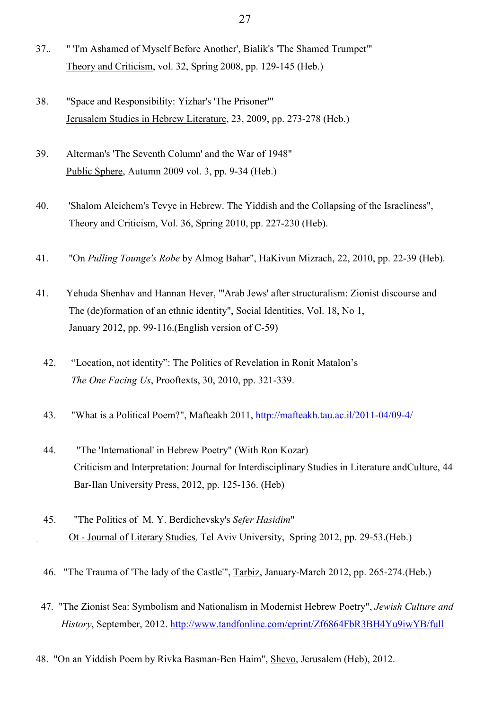- 37.. " 'I'm Ashamed of Myself Before Another', Bialik's 'The Shamed Trumpet'" Theory and Criticism, vol. 32, Spring 2008, pp. 129-145 (Heb.)
- 38. "Space and Responsibility: Yizhar's 'The Prisoner'" Jerusalem Studies in Hebrew Literature, 23, 2009, pp. 273-278 (Heb.)
- 39. Alterman's 'The Seventh Column' and the War of 1948" Public Sphere, Autumn 2009 vol. 3, pp. 9-34 (Heb.)
- 40. 'Shalom Aleichem's Tevye in Hebrew. The Yiddish and the Collapsing of the Israeliness", Theory and Criticism, Vol. 36, Spring 2010, pp. 227-230 (Heb).
- 41. "On *Pulling Tounge's Robe* by Almog Bahar", HaKivun Mizrach, 22, 2010, pp. 22-39 (Heb).
- 41. Yehuda Shenhav and Hannan Hever, "'Arab Jews' after structuralism: Zionist discourse and The (de)formation of an ethnic identity", Social Identities, Vol. 18, No 1, January 2012, pp. 99-116.(English version of C-59)
	- 42. "Location, not identity": The Politics of Revelation in Ronit Matalon's  *The One Facing Us*, Prooftexts, 30, 2010, pp. 321-339.
	- 43. "What is a Political Poem?", Mafteakh 2011,<http://mafteakh.tau.ac.il/2011-04/09-4/>
	- 44. "The 'International' in Hebrew Poetry" (With Ron Kozar) Criticism and Interpretation: Journal for Interdisciplinary Studies in Literature andCulture, 44 Bar-Ilan University Press, 2012, pp. 125-136. (Heb)
	- 45. "The Politics of M. Y. Berdichevsky's *Sefer Hasidim*" Ot - Journal of Literary Studies*,* Tel Aviv University, Spring 2012, pp. 29-53.(Heb.)
	- 46. "The Trauma of 'The lady of the Castle'", Tarbiz, January-March 2012, pp. 265-274.(Heb.)
	- 47. "The Zionist Sea: Symbolism and Nationalism in Modernist Hebrew Poetry", *Jewish Culture and History*, September, 2012.<http://www.tandfonline.com/eprint/Zf6864FbR3BH4Yu9iwYB/full>
- 48. "On an Yiddish Poem by Rivka Basman-Ben Haim", Shevo, Jerusalem (Heb), 2012.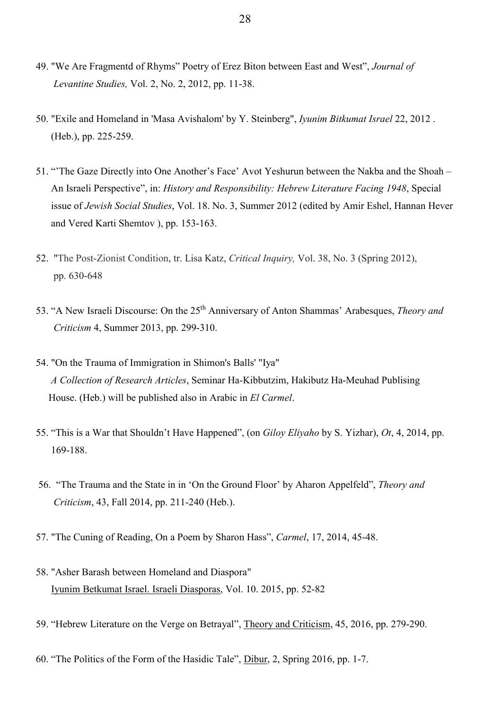- 49. "We Are Fragmentd of Rhyms" Poetry of Erez Biton between East and West", *Journal of Levantine Studies,* Vol. 2, No. 2, 2012, pp. 11-38.
- 50. "Exile and Homeland in 'Masa Avishalom' by Y. Steinberg", *Iyunim Bitkumat Israel* 22, 2012 . (Heb.), pp. 225-259.
- 51. "'The Gaze Directly into One Another's Face' Avot Yeshurun between the Nakba and the Shoah An Israeli Perspective", in: *History and Responsibility: Hebrew Literature Facing 1948*, Special issue of *Jewish Social Studies*, Vol. 18. No. 3, Summer 2012 (edited by Amir Eshel, Hannan Hever and Vered Karti Shemtov ), pp. 153-163.
- 52. "The Post-Zionist Condition, tr. Lisa Katz, *Critical Inquiry,* Vol. 38, No. 3 (Spring 2012), pp. 630-648
- 53. "A New Israeli Discourse: On the 25th Anniversary of Anton Shammas' Arabesques, *Theory and Criticism* 4, Summer 2013, pp. 299-310.
- 54. "On the Trauma of Immigration in Shimon's Balls' "Iya" *A Collection of Research Articles*, Seminar Ha-Kibbutzim, Hakibutz Ha-Meuhad Publising House. (Heb.) will be published also in Arabic in *El Carmel*.
- 55. "This is a War that Shouldn't Have Happened", (on *Giloy Eliyaho* by S. Yizhar), *Ot*, 4, 2014, pp. 169-188.
- 56. "The Trauma and the State in in 'On the Ground Floor' by Aharon Appelfeld", *Theory and Criticism*, 43, Fall 2014, pp. 211-240 (Heb.).
- 57. "The Cuning of Reading, On a Poem by Sharon Hass", *Carmel*, 17, 2014, 45-48.
- 58. "Asher Barash between Homeland and Diaspora" Iyunim Betkumat Israel. Israeli Diasporas, Vol. 10. 2015, pp. 52-82
- 59. "Hebrew Literature on the Verge on Betrayal", Theory and Criticism, 45, 2016, pp. 279-290.
- 60. "The Politics of the Form of the Hasidic Tale", Dibur, 2, Spring 2016, pp. 1-7.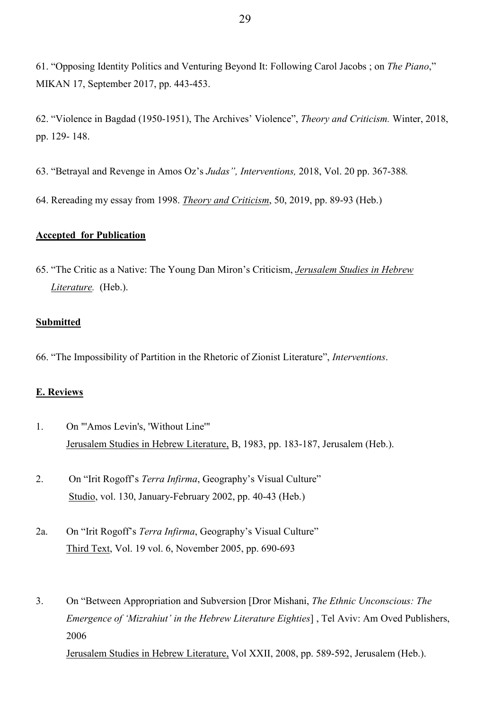61. "Opposing Identity Politics and Venturing Beyond It: Following Carol Jacobs ; on *The Piano*," MIKAN 17, September 2017, pp. 443-453.

62. "Violence in Bagdad (1950-1951), The Archives' Violence", *Theory and Criticism.* Winter, 2018, pp. 129- 148.

63. "Betrayal and Revenge in Amos Oz's *Judas", Interventions,* 2018, Vol. 20 pp. 367-388*.*

64. Rereading my essay from 1998. *Theory and Criticism*, 50, 2019, pp. 89-93 (Heb.)

# **Accepted for Publication**

65. "The Critic as a Native: The Young Dan Miron's Criticism, *Jerusalem Studies in Hebrew Literature.* (Heb.).

# **Submitted**

66. "The Impossibility of Partition in the Rhetoric of Zionist Literature", *Interventions*.

### **E. Reviews**

1. On "'Amos Levin's, 'Without Line'" Jerusalem Studies in Hebrew Literature, B, 1983, pp. 183-187, Jerusalem (Heb.).

2. On "Irit Rogoff's *Terra Infirma*, Geography's Visual Culture" Studio, vol. 130, January-February 2002, pp. 40-43 (Heb.)

- 2a. On "Irit Rogoff's *Terra Infirma*, Geography's Visual Culture" Third Text, Vol. 19 vol. 6, November 2005, pp. 690-693
- 3. On "Between Appropriation and Subversion [Dror Mishani, *The Ethnic Unconscious: The Emergence of 'Mizrahiut' in the Hebrew Literature Eighties*] , Tel Aviv: Am Oved Publishers, 2006

Jerusalem Studies in Hebrew Literature, Vol XXII, 2008, pp. 589-592, Jerusalem (Heb.).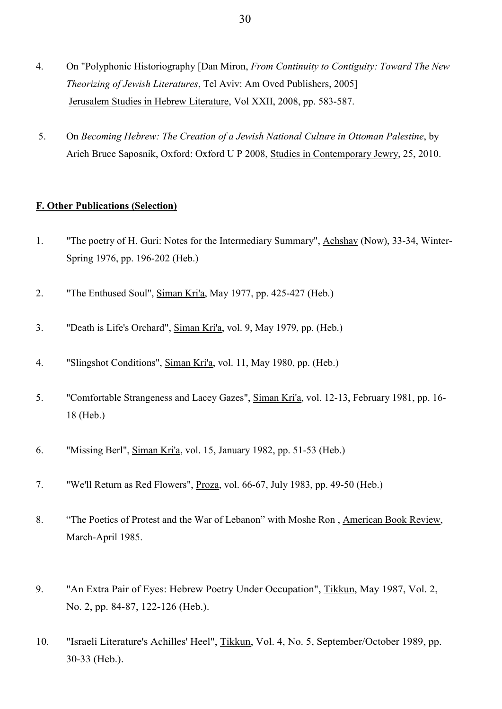- 4. On "Polyphonic Historiography [Dan Miron, *From Continuity to Contiguity: Toward The New Theorizing of Jewish Literatures*, Tel Aviv: Am Oved Publishers, 2005] Jerusalem Studies in Hebrew Literature, Vol XXII, 2008, pp. 583-587.
- 5. On *Becoming Hebrew: The Creation of a Jewish National Culture in Ottoman Palestine*, by Arieh Bruce Saposnik, Oxford: Oxford U P 2008, Studies in Contemporary Jewry, 25, 2010.

# **F. Other Publications (Selection)**

- 1. "The poetry of H. Guri: Notes for the Intermediary Summary", Achshav (Now), 33-34, Winter-Spring 1976, pp. 196-202 (Heb.)
- 2. "The Enthused Soul", Siman Kri'a, May 1977, pp. 425-427 (Heb.)
- 3. "Death is Life's Orchard", Siman Kri'a, vol. 9, May 1979, pp. (Heb.)
- 4. "Slingshot Conditions", Siman Kri'a, vol. 11, May 1980, pp. (Heb.)
- 5. "Comfortable Strangeness and Lacey Gazes", Siman Kri'a, vol. 12-13, February 1981, pp. 16- 18 (Heb.)
- 6. "Missing Berl", Siman Kri'a, vol. 15, January 1982, pp. 51-53 (Heb.)
- 7. "We'll Return as Red Flowers", Proza, vol. 66-67, July 1983, pp. 49-50 (Heb.)
- 8. "The Poetics of Protest and the War of Lebanon" with Moshe Ron , American Book Review, March-April 1985.
- 9. "An Extra Pair of Eyes: Hebrew Poetry Under Occupation", Tikkun, May 1987, Vol. 2, No. 2, pp. 84-87, 122-126 (Heb.).
- 10. "Israeli Literature's Achilles' Heel", Tikkun, Vol. 4, No. 5, September/October 1989, pp. 30-33 (Heb.).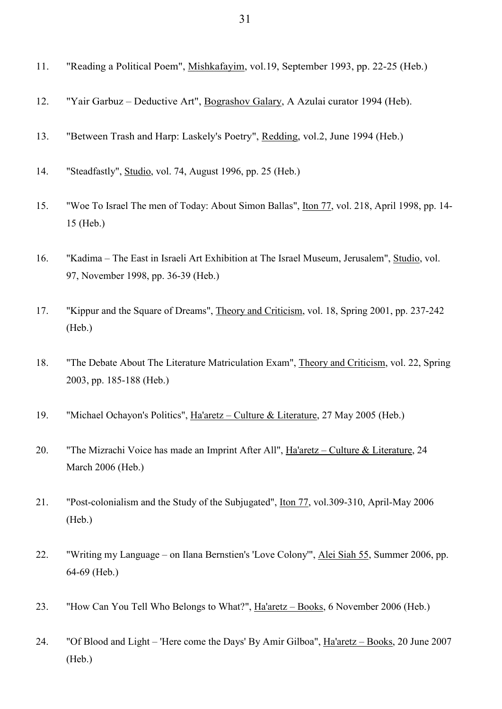| 11. | "Reading a Political Poem", Mishkafayim, vol.19, September 1993, pp. 22-25 (Heb.) |  |  |  |  |
|-----|-----------------------------------------------------------------------------------|--|--|--|--|
|-----|-----------------------------------------------------------------------------------|--|--|--|--|

- 12. "Yair Garbuz Deductive Art", Bograshov Galary, A Azulai curator 1994 (Heb).
- 13. "Between Trash and Harp: Laskely's Poetry", Redding, vol.2, June 1994 (Heb.)
- 14. "Steadfastly", Studio, vol. 74, August 1996, pp. 25 (Heb.)
- 15. "Woe To Israel The men of Today: About Simon Ballas", Iton 77, vol. 218, April 1998, pp. 14- 15 (Heb.)
- 16. "Kadima The East in Israeli Art Exhibition at The Israel Museum, Jerusalem", Studio, vol. 97, November 1998, pp. 36-39 (Heb.)
- 17. "Kippur and the Square of Dreams", Theory and Criticism, vol. 18, Spring 2001, pp. 237-242 (Heb.)
- 18. "The Debate About The Literature Matriculation Exam", Theory and Criticism, vol. 22, Spring 2003, pp. 185-188 (Heb.)
- 19. "Michael Ochayon's Politics", Ha'aretz Culture & Literature, 27 May 2005 (Heb.)
- 20. "The Mizrachi Voice has made an Imprint After All", Ha'aretz Culture & Literature, 24 March 2006 (Heb.)
- 21. "Post-colonialism and the Study of the Subjugated", Iton 77, vol.309-310, April-May 2006 (Heb.)
- 22. "Writing my Language on Ilana Bernstien's 'Love Colony'", Alei Siah 55, Summer 2006, pp. 64-69 (Heb.)
- 23. "How Can You Tell Who Belongs to What?", Ha'aretz Books, 6 November 2006 (Heb.)

24. "Of Blood and Light – 'Here come the Days' By Amir Gilboa", Ha'aretz – Books, 20 June 2007 (Heb.)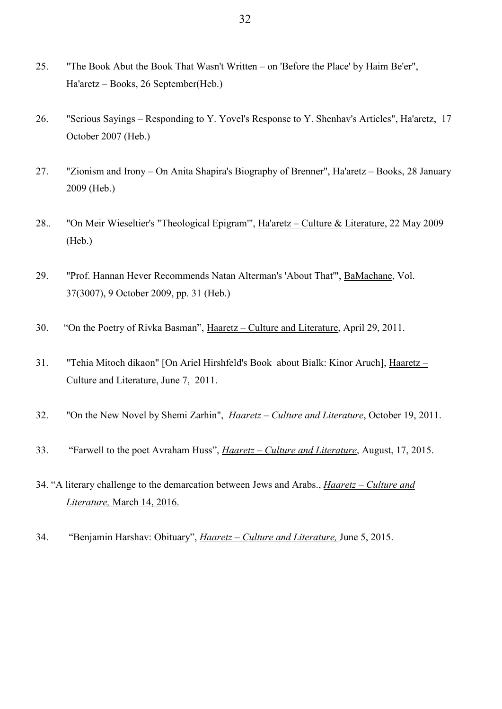- 25. "The Book Abut the Book That Wasn't Written on 'Before the Place' by Haim Be'er", Ha'aretz – Books, 26 September(Heb.)
- 26. "Serious Sayings Responding to Y. Yovel's Response to Y. Shenhav's Articles", Ha'aretz, 17 October 2007 (Heb.)
- 27. "Zionism and Irony On Anita Shapira's Biography of Brenner", Ha'aretz Books, 28 January 2009 (Heb.)
- 28.. "On Meir Wieseltier's "Theological Epigram'", Ha'aretz Culture & Literature, 22 May 2009 (Heb.)
- 29. "Prof. Hannan Hever Recommends Natan Alterman's 'About That'", BaMachane, Vol. 37(3007), 9 October 2009, pp. 31 (Heb.)
- 30. "On the Poetry of Rivka Basman", Haaretz Culture and Literature, April 29, 2011.
- 31. "Tehia Mitoch dikaon" [On Ariel Hirshfeld's Book about Bialk: Kinor Aruch], Haaretz Culture and Literature, June 7, 2011.
- 32. "On the New Novel by Shemi Zarhin", *Haaretz – Culture and Literature*, October 19, 2011.
- 33. "Farwell to the poet Avraham Huss", *Haaretz – Culture and Literature*, August, 17, 2015.
- 34. "A literary challenge to the demarcation between Jews and Arabs., *Haaretz – Culture and Literature,* March 14, 2016.
- 34. "Benjamin Harshav: Obituary", *Haaretz – Culture and Literature,* June 5, 2015.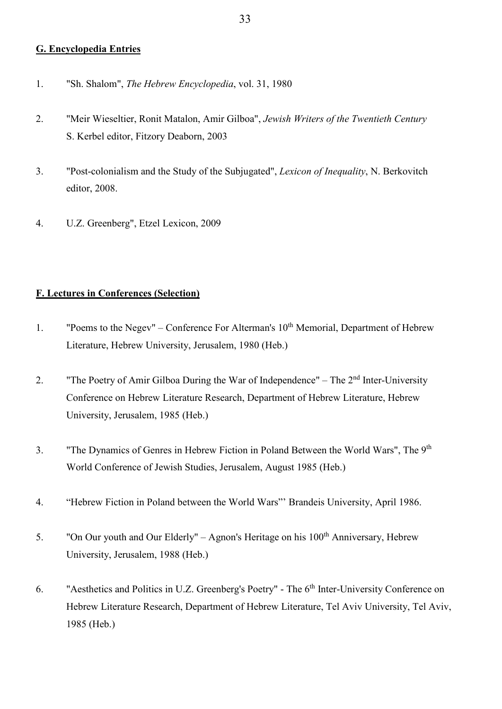## **G. Encyclopedia Entries**

- 1. "Sh. Shalom", *The Hebrew Encyclopedia*, vol. 31, 1980
- 2. "Meir Wieseltier, Ronit Matalon, Amir Gilboa", *Jewish Writers of the Twentieth Century* S. Kerbel editor, Fitzory Deaborn, 2003
- 3. "Post-colonialism and the Study of the Subjugated", *Lexicon of Inequality*, N. Berkovitch editor, 2008.
- 4. U.Z. Greenberg", Etzel Lexicon, 2009

# **F. Lectures in Conferences (Selection)**

- 1. "Poems to the Negev" Conference For Alterman's  $10<sup>th</sup>$  Memorial, Department of Hebrew Literature, Hebrew University, Jerusalem, 1980 (Heb.)
- 2. "The Poetry of Amir Gilboa During the War of Independence" The  $2<sup>nd</sup>$  Inter-University Conference on Hebrew Literature Research, Department of Hebrew Literature, Hebrew University, Jerusalem, 1985 (Heb.)
- 3. "The Dynamics of Genres in Hebrew Fiction in Poland Between the World Wars", The 9th World Conference of Jewish Studies, Jerusalem, August 1985 (Heb.)
- 4. "Hebrew Fiction in Poland between the World Wars"' Brandeis University, April 1986.
- 5. "On Our youth and Our Elderly" Agnon's Heritage on his  $100<sup>th</sup>$  Anniversary, Hebrew University, Jerusalem, 1988 (Heb.)
- 6. "Aesthetics and Politics in U.Z. Greenberg's Poetry" The 6<sup>th</sup> Inter-University Conference on Hebrew Literature Research, Department of Hebrew Literature, Tel Aviv University, Tel Aviv, 1985 (Heb.)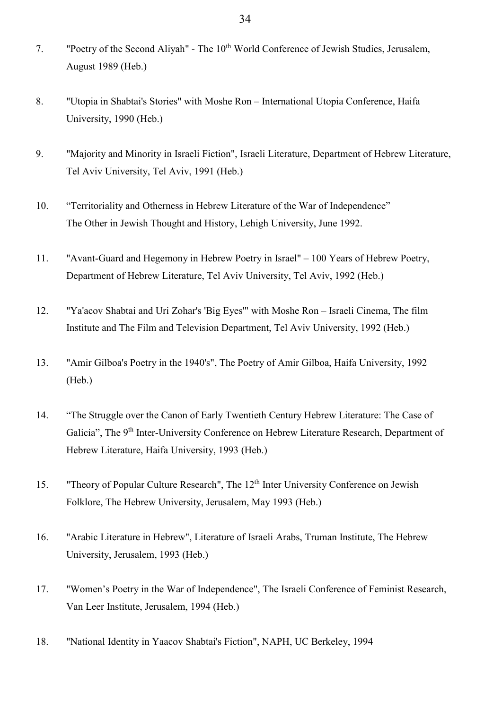- 7. "Poetry of the Second Aliyah" The 10<sup>th</sup> World Conference of Jewish Studies, Jerusalem, August 1989 (Heb.)
- 8. "Utopia in Shabtai's Stories" with Moshe Ron International Utopia Conference, Haifa University, 1990 (Heb.)
- 9. "Majority and Minority in Israeli Fiction", Israeli Literature, Department of Hebrew Literature, Tel Aviv University, Tel Aviv, 1991 (Heb.)
- 10. "Territoriality and Otherness in Hebrew Literature of the War of Independence" The Other in Jewish Thought and History, Lehigh University, June 1992.
- 11. "Avant-Guard and Hegemony in Hebrew Poetry in Israel" 100 Years of Hebrew Poetry, Department of Hebrew Literature, Tel Aviv University, Tel Aviv, 1992 (Heb.)
- 12. "Ya'acov Shabtai and Uri Zohar's 'Big Eyes'" with Moshe Ron Israeli Cinema, The film Institute and The Film and Television Department, Tel Aviv University, 1992 (Heb.)
- 13. "Amir Gilboa's Poetry in the 1940's", The Poetry of Amir Gilboa, Haifa University, 1992 (Heb.)
- 14. "The Struggle over the Canon of Early Twentieth Century Hebrew Literature: The Case of Galicia", The 9<sup>th</sup> Inter-University Conference on Hebrew Literature Research, Department of Hebrew Literature, Haifa University, 1993 (Heb.)
- 15. "Theory of Popular Culture Research", The 12<sup>th</sup> Inter University Conference on Jewish Folklore, The Hebrew University, Jerusalem, May 1993 (Heb.)
- 16. "Arabic Literature in Hebrew", Literature of Israeli Arabs, Truman Institute, The Hebrew University, Jerusalem, 1993 (Heb.)
- 17. "Women's Poetry in the War of Independence", The Israeli Conference of Feminist Research, Van Leer Institute, Jerusalem, 1994 (Heb.)
- 18. "National Identity in Yaacov Shabtai's Fiction", NAPH, UC Berkeley, 1994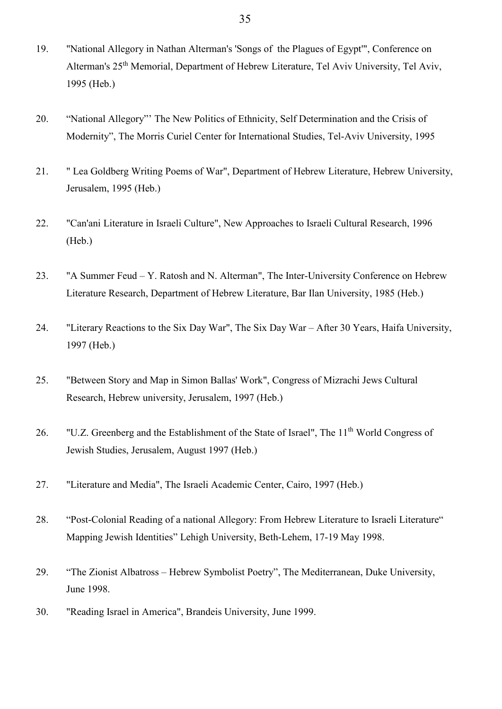- 19. "National Allegory in Nathan Alterman's 'Songs of the Plagues of Egypt'", Conference on Alterman's 25th Memorial, Department of Hebrew Literature, Tel Aviv University, Tel Aviv, 1995 (Heb.)
- 20. "National Allegory"' The New Politics of Ethnicity, Self Determination and the Crisis of Modernity", The Morris Curiel Center for International Studies, Tel-Aviv University, 1995
- 21. " Lea Goldberg Writing Poems of War", Department of Hebrew Literature, Hebrew University, Jerusalem, 1995 (Heb.)
- 22. "Can'ani Literature in Israeli Culture", New Approaches to Israeli Cultural Research, 1996 (Heb.)
- 23. "A Summer Feud Y. Ratosh and N. Alterman", The Inter-University Conference on Hebrew Literature Research, Department of Hebrew Literature, Bar Ilan University, 1985 (Heb.)
- 24. "Literary Reactions to the Six Day War", The Six Day War After 30 Years, Haifa University, 1997 (Heb.)
- 25. "Between Story and Map in Simon Ballas' Work", Congress of Mizrachi Jews Cultural Research, Hebrew university, Jerusalem, 1997 (Heb.)
- 26. "U.Z. Greenberg and the Establishment of the State of Israel". The 11<sup>th</sup> World Congress of Jewish Studies, Jerusalem, August 1997 (Heb.)
- 27. "Literature and Media", The Israeli Academic Center, Cairo, 1997 (Heb.)
- 28. "Post-Colonial Reading of a national Allegory: From Hebrew Literature to Israeli Literature" Mapping Jewish Identities" Lehigh University, Beth-Lehem, 17-19 May 1998.
- 29. "The Zionist Albatross Hebrew Symbolist Poetry", The Mediterranean, Duke University, June 1998.
- 30. "Reading Israel in America", Brandeis University, June 1999.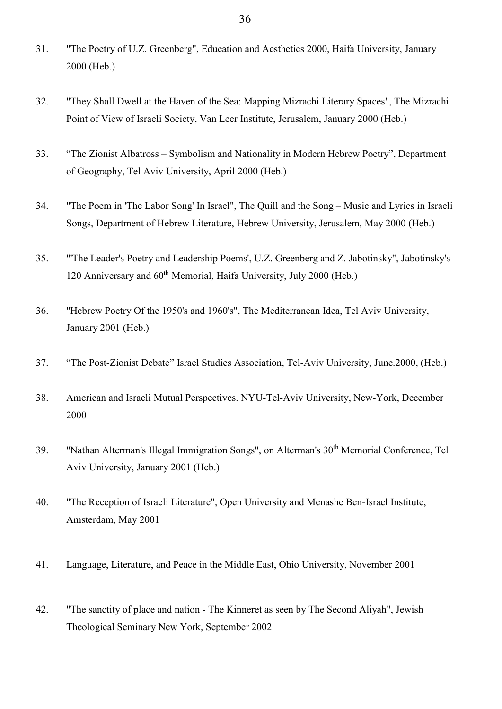- 31. "The Poetry of U.Z. Greenberg", Education and Aesthetics 2000, Haifa University, January 2000 (Heb.)
- 32. "They Shall Dwell at the Haven of the Sea: Mapping Mizrachi Literary Spaces", The Mizrachi Point of View of Israeli Society, Van Leer Institute, Jerusalem, January 2000 (Heb.)
- 33. "The Zionist Albatross Symbolism and Nationality in Modern Hebrew Poetry", Department of Geography, Tel Aviv University, April 2000 (Heb.)
- 34. "The Poem in 'The Labor Song' In Israel", The Quill and the Song Music and Lyrics in Israeli Songs, Department of Hebrew Literature, Hebrew University, Jerusalem, May 2000 (Heb.)
- 35. "'The Leader's Poetry and Leadership Poems', U.Z. Greenberg and Z. Jabotinsky", Jabotinsky's 120 Anniversary and 60<sup>th</sup> Memorial, Haifa University, July 2000 (Heb.)
- 36. "Hebrew Poetry Of the 1950's and 1960's", The Mediterranean Idea, Tel Aviv University, January 2001 (Heb.)
- 37. "The Post-Zionist Debate" Israel Studies Association, Tel-Aviv University, June.2000, (Heb.)
- 38. American and Israeli Mutual Perspectives. NYU-Tel-Aviv University, New-York, December 2000
- 39. "Nathan Alterman's Illegal Immigration Songs", on Alterman's 30th Memorial Conference, Tel Aviv University, January 2001 (Heb.)
- 40. "The Reception of Israeli Literature", Open University and Menashe Ben-Israel Institute, Amsterdam, May 2001
- 41. Language, Literature, and Peace in the Middle East, Ohio University, November 2001
- 42. "The sanctity of place and nation The Kinneret as seen by The Second Aliyah", Jewish Theological Seminary New York, September 2002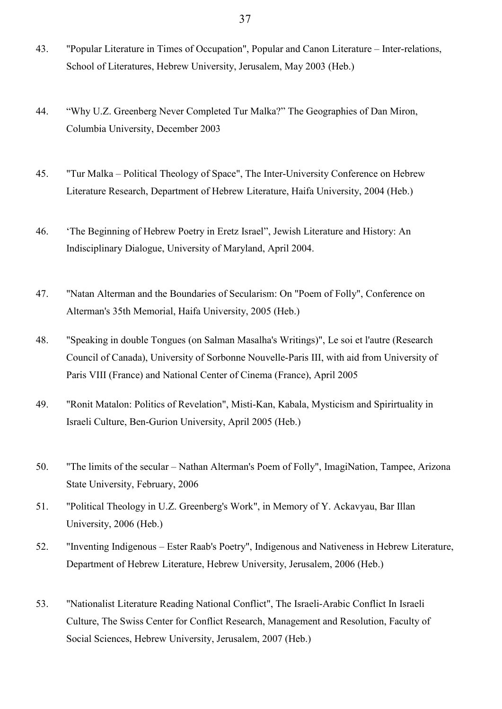- 43. "Popular Literature in Times of Occupation", Popular and Canon Literature Inter-relations, School of Literatures, Hebrew University, Jerusalem, May 2003 (Heb.)
- 44. "Why U.Z. Greenberg Never Completed Tur Malka?" The Geographies of Dan Miron, Columbia University, December 2003
- 45. "Tur Malka Political Theology of Space", The Inter-University Conference on Hebrew Literature Research, Department of Hebrew Literature, Haifa University, 2004 (Heb.)
- 46. 'The Beginning of Hebrew Poetry in Eretz Israel", Jewish Literature and History: An Indisciplinary Dialogue, University of Maryland, April 2004.
- 47. "Natan Alterman and the Boundaries of Secularism: On "Poem of Folly", Conference on Alterman's 35th Memorial, Haifa University, 2005 (Heb.)
- 48. "Speaking in double Tongues (on Salman Masalha's Writings)", [Le soi et l'autre](http://www.er.uqam.ca/nobel/soietaut/accueil.htm) [\(Research](http://www.sshrc-crsh.gc.ca/)  [Council of Canada\)](http://www.sshrc-crsh.gc.ca/), [University of Sorbonne Nouvelle-Paris III,](http://www.univ-paris3.fr/) with aid from [University of](http://www.univ-paris8.fr/)  [Paris VIII](http://www.univ-paris8.fr/) (France) and [National Center of Cinema](http://www.cnc.fr/) (France), April 2005
- 49. "Ronit Matalon: Politics of Revelation", Misti-Kan, Kabala, Mysticism and Spirirtuality in Israeli Culture, Ben-Gurion University, April 2005 (Heb.)
- 50. "The limits of the secular Nathan Alterman's Poem of Folly", ImagiNation, Tampee, Arizona State University, February, 2006
- 51. "Political Theology in U.Z. Greenberg's Work", in Memory of Y. Ackavyau, Bar Illan University, 2006 (Heb.)
- 52. "Inventing Indigenous Ester Raab's Poetry", Indigenous and Nativeness in Hebrew Literature, Department of Hebrew Literature, Hebrew University, Jerusalem, 2006 (Heb.)
- 53. "Nationalist Literature Reading National Conflict", The Israeli-Arabic Conflict In Israeli Culture, The Swiss Center for Conflict Research, Management and Resolution, Faculty of Social Sciences, Hebrew University, Jerusalem, 2007 (Heb.)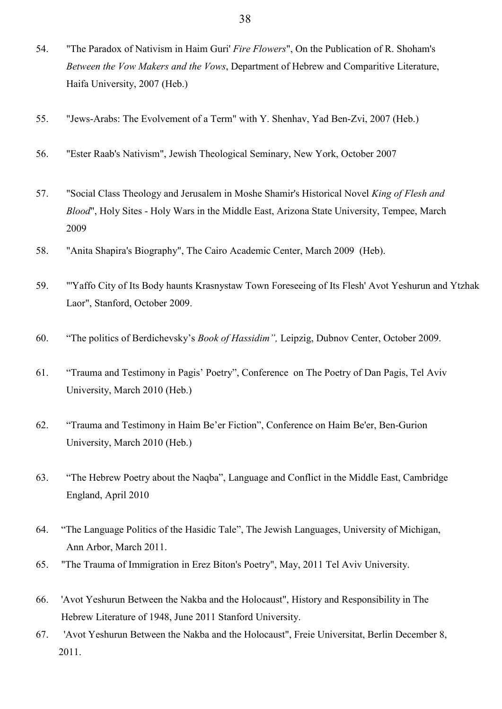- 54. "The Paradox of Nativism in Haim Guri' *Fire Flowers*", On the Publication of R. Shoham's *Between the Vow Makers and the Vows*, Department of Hebrew and Comparitive Literature, Haifa University, 2007 (Heb.)
- 55. "Jews-Arabs: The Evolvement of a Term" with Y. Shenhav, Yad Ben-Zvi, 2007 (Heb.)
- 56. "Ester Raab's Nativism", Jewish Theological Seminary, New York, October 2007
- 57. "Social Class Theology and Jerusalem in Moshe Shamir's Historical Novel *King of Flesh and Blood*", Holy Sites - Holy Wars in the Middle East, Arizona State University, Tempee, March 2009
- 58. "Anita Shapira's Biography", The Cairo Academic Center, March 2009 (Heb).
- 59. "'Yaffo City of Its Body haunts Krasnystaw Town Foreseeing of Its Flesh' Avot Yeshurun and Ytzhak Laor", Stanford, October 2009.
- 60. "The politics of Berdichevsky's *Book of Hassidim",* Leipzig, Dubnov Center, October 2009.
- 61. "Trauma and Testimony in Pagis' Poetry", Conference on The Poetry of Dan Pagis, Tel Aviv University, March 2010 (Heb.)
- 62. "Trauma and Testimony in Haim Be'er Fiction", Conference on Haim Be'er, Ben-Gurion University, March 2010 (Heb.)
- 63. "The Hebrew Poetry about the Naqba", Language and Conflict in the Middle East, Cambridge England, April 2010
- 64. "The Language Politics of the Hasidic Tale", The Jewish Languages, University of Michigan, Ann Arbor, March 2011.
- 65. "The Trauma of Immigration in Erez Biton's Poetry", May, 2011 Tel Aviv University.
- 66. 'Avot Yeshurun Between the Nakba and the Holocaust", History and Responsibility in The Hebrew Literature of 1948, June 2011 Stanford University.
- 67. 'Avot Yeshurun Between the Nakba and the Holocaust", Freie Universitat, Berlin December 8, 2011.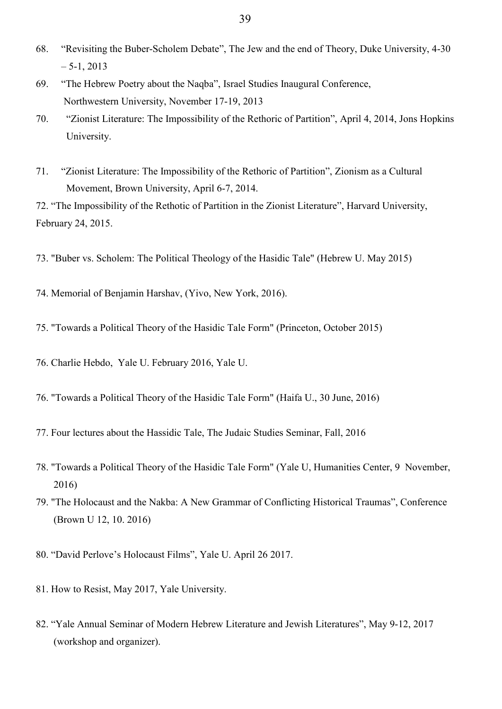- 68. "Revisiting the Buber-Scholem Debate", The Jew and the end of Theory, Duke University, 4-30  $-5-1, 2013$
- 69. "The Hebrew Poetry about the Naqba", Israel Studies Inaugural Conference, Northwestern University, November 17-19, 2013
- 70. "Zionist Literature: The Impossibility of the Rethoric of Partition", April 4, 2014, Jons Hopkins University.
- 71. "Zionist Literature: The Impossibility of the Rethoric of Partition", Zionism as a Cultural Movement, Brown University, April 6-7, 2014.

72. "The Impossibility of the Rethotic of Partition in the Zionist Literature", Harvard University, February 24, 2015.

- 73. "Buber vs. Scholem: The Political Theology of the Hasidic Tale" (Hebrew U. May 2015)
- 74. Memorial of Benjamin Harshav, (Yivo, New York, 2016).
- 75. "Towards a Political Theory of the Hasidic Tale Form" (Princeton, October 2015)
- 76. Charlie Hebdo, Yale U. February 2016, Yale U.
- 76. "Towards a Political Theory of the Hasidic Tale Form" (Haifa U., 30 June, 2016)
- 77. Four lectures about the Hassidic Tale, The Judaic Studies Seminar, Fall, 2016
- 78. "Towards a Political Theory of the Hasidic Tale Form" (Yale U, Humanities Center, 9 November, 2016)
- 79. "The Holocaust and the Nakba: A New Grammar of Conflicting Historical Traumas", Conference (Brown U 12, 10. 2016)
- 80. "David Perlove's Holocaust Films", Yale U. April 26 2017.
- 81. How to Resist, May 2017, Yale University.
- 82. "Yale Annual Seminar of Modern Hebrew Literature and Jewish Literatures", May 9-12, 2017 (workshop and organizer).